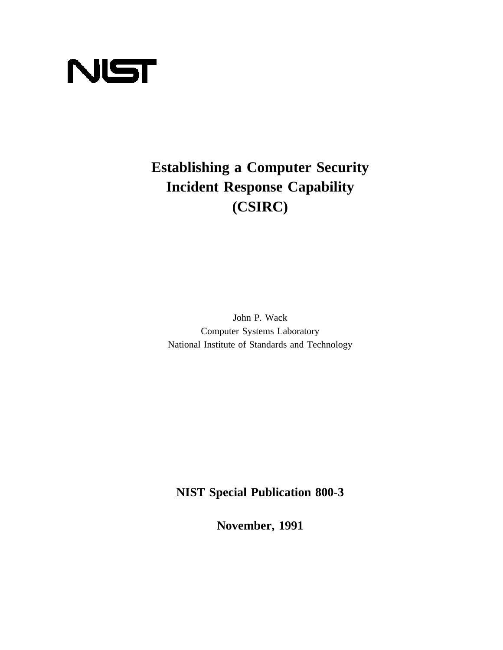

# **Establishing a Computer Security Incident Response Capability (CSIRC)**

John P. Wack Computer Systems Laboratory National Institute of Standards and Technology

**NIST Special Publication 800-3**

**November, 1991**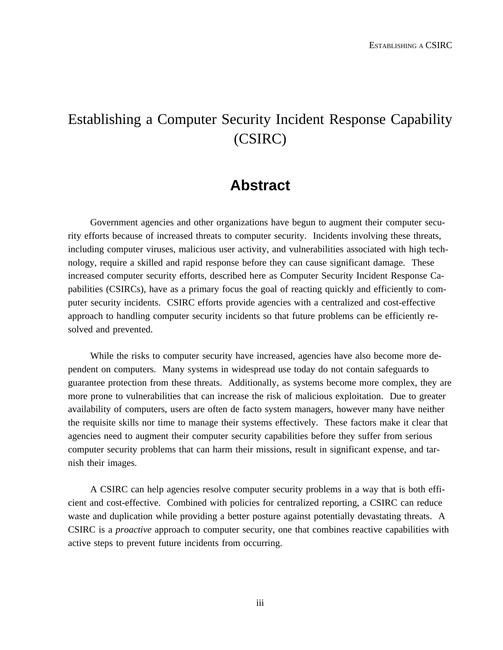## Establishing a Computer Security Incident Response Capability (CSIRC)

## **Abstract**

Government agencies and other organizations have begun to augment their computer security efforts because of increased threats to computer security. Incidents involving these threats, including computer viruses, malicious user activity, and vulnerabilities associated with high technology, require a skilled and rapid response before they can cause significant damage. These increased computer security efforts, described here as Computer Security Incident Response Capabilities (CSIRCs), have as a primary focus the goal of reacting quickly and efficiently to computer security incidents. CSIRC efforts provide agencies with a centralized and cost-effective approach to handling computer security incidents so that future problems can be efficiently resolved and prevented.

While the risks to computer security have increased, agencies have also become more dependent on computers. Many systems in widespread use today do not contain safeguards to guarantee protection from these threats. Additionally, as systems become more complex, they are more prone to vulnerabilities that can increase the risk of malicious exploitation. Due to greater availability of computers, users are often de facto system managers, however many have neither the requisite skills nor time to manage their systems effectively. These factors make it clear that agencies need to augment their computer security capabilities before they suffer from serious computer security problems that can harm their missions, result in significant expense, and tarnish their images.

A CSIRC can help agencies resolve computer security problems in a way that is both efficient and cost-effective. Combined with policies for centralized reporting, a CSIRC can reduce waste and duplication while providing a better posture against potentially devastating threats. A CSIRC is a *proactive* approach to computer security, one that combines reactive capabilities with active steps to prevent future incidents from occurring.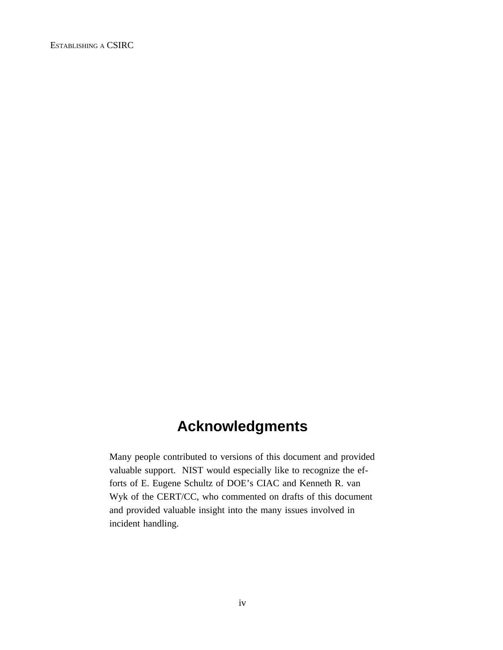ESTABLISHING A CSIRC

## **Acknowledgments**

Many people contributed to versions of this document and provided valuable support. NIST would especially like to recognize the efforts of E. Eugene Schultz of DOE's CIAC and Kenneth R. van Wyk of the CERT/CC, who commented on drafts of this document and provided valuable insight into the many issues involved in incident handling.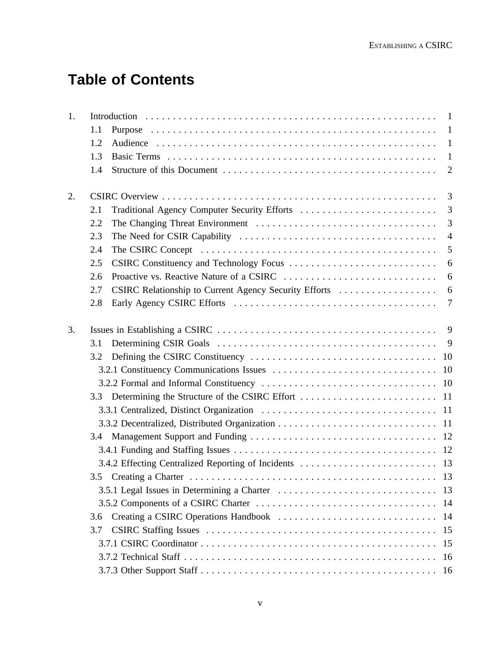# **Table of Contents**

| 1.1                                                          |                        |
|--------------------------------------------------------------|------------------------|
| 1.2                                                          | $\mathbf{1}$           |
| 1.3                                                          | $\overline{1}$         |
| 1.4                                                          | $\overline{2}$         |
|                                                              | 3                      |
| Traditional Agency Computer Security Efforts<br>2.1          | 3                      |
| 2.2                                                          | 3                      |
| 2.3                                                          | $\overline{4}$         |
| 2.4                                                          | 5                      |
| 2.5                                                          | 6                      |
| Proactive vs. Reactive Nature of a CSIRC<br>2.6              | 6                      |
| 2.7<br>CSIRC Relationship to Current Agency Security Efforts | 6                      |
| 2.8                                                          | $\overline{7}$         |
|                                                              | 9                      |
| 3.1                                                          | 9                      |
| 3.2                                                          |                        |
|                                                              |                        |
|                                                              |                        |
| 3.3                                                          |                        |
|                                                              |                        |
|                                                              |                        |
| 3.4                                                          |                        |
|                                                              |                        |
|                                                              |                        |
|                                                              | 13                     |
|                                                              |                        |
|                                                              | -14                    |
| 3.6                                                          | 14                     |
| 3.7                                                          | 15                     |
|                                                              | 15                     |
|                                                              | 16                     |
|                                                              | 16                     |
|                                                              | 3.5 Creating a Charter |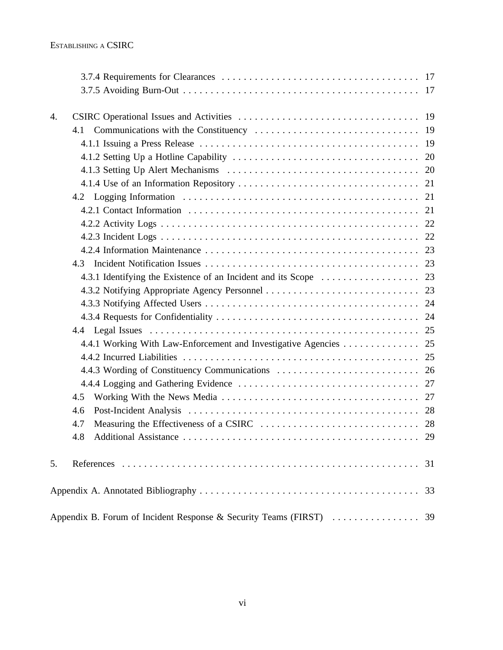| 4. |                                                                  |    |
|----|------------------------------------------------------------------|----|
|    | 4.1                                                              |    |
|    |                                                                  |    |
|    |                                                                  |    |
|    |                                                                  |    |
|    |                                                                  |    |
|    |                                                                  |    |
|    |                                                                  |    |
|    |                                                                  |    |
|    |                                                                  |    |
|    |                                                                  |    |
|    | 4.3                                                              |    |
|    |                                                                  |    |
|    |                                                                  | 23 |
|    |                                                                  |    |
|    |                                                                  |    |
|    |                                                                  |    |
|    | 4.4.1 Working With Law-Enforcement and Investigative Agencies 25 |    |
|    |                                                                  |    |
|    |                                                                  |    |
|    |                                                                  |    |
|    | 4.5                                                              |    |
|    | 4.6                                                              |    |
|    | 4.7                                                              | 28 |
|    | 4.8 Additional Assistance                                        | 29 |
| 5. |                                                                  | 31 |
|    |                                                                  | 33 |
|    |                                                                  |    |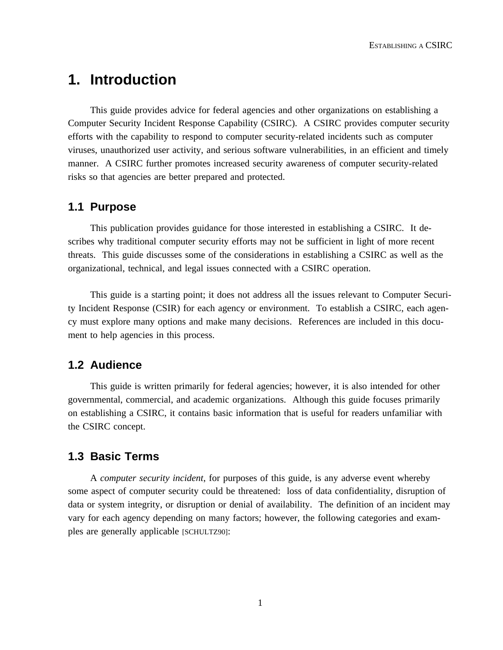ESTABLISHING A CSIRC

## **1. Introduction**

This guide provides advice for federal agencies and other organizations on establishing a Computer Security Incident Response Capability (CSIRC). A CSIRC provides computer security efforts with the capability to respond to computer security-related incidents such as computer viruses, unauthorized user activity, and serious software vulnerabilities, in an efficient and timely manner. A CSIRC further promotes increased security awareness of computer security-related risks so that agencies are better prepared and protected.

## **1.1 Purpose**

This publication provides guidance for those interested in establishing a CSIRC. It describes why traditional computer security efforts may not be sufficient in light of more recent threats. This guide discusses some of the considerations in establishing a CSIRC as well as the organizational, technical, and legal issues connected with a CSIRC operation.

This guide is a starting point; it does not address all the issues relevant to Computer Security Incident Response (CSIR) for each agency or environment. To establish a CSIRC, each agency must explore many options and make many decisions. References are included in this document to help agencies in this process.

### **1.2 Audience**

This guide is written primarily for federal agencies; however, it is also intended for other governmental, commercial, and academic organizations. Although this guide focuses primarily on establishing a CSIRC, it contains basic information that is useful for readers unfamiliar with the CSIRC concept.

## **1.3 Basic Terms**

A *computer security incident*, for purposes of this guide, is any adverse event whereby some aspect of computer security could be threatened: loss of data confidentiality, disruption of data or system integrity, or disruption or denial of availability. The definition of an incident may vary for each agency depending on many factors; however, the following categories and examples are generally applicable [SCHULTZ90]: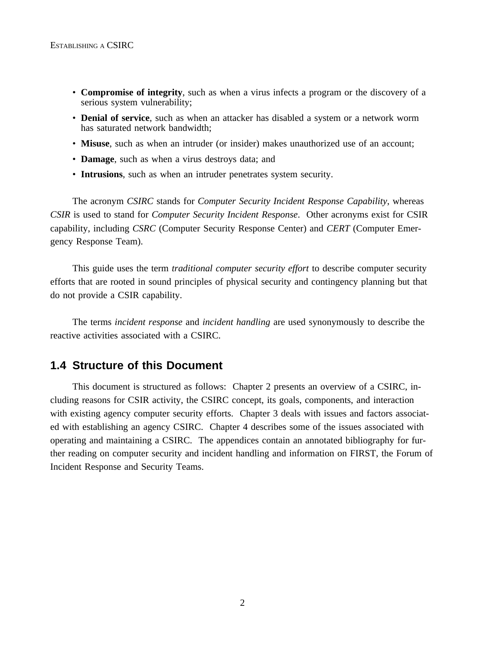- **Compromise of integrity**, such as when a virus infects a program or the discovery of a serious system vulnerability;
- **Denial of service**, such as when an attacker has disabled a system or a network worm has saturated network bandwidth;
- **Misuse**, such as when an intruder (or insider) makes unauthorized use of an account;
- **Damage**, such as when a virus destroys data; and
- **Intrusions**, such as when an intruder penetrates system security.

The acronym *CSIRC* stands for *Computer Security Incident Response Capability*, whereas *CSIR* is used to stand for *Computer Security Incident Response*. Other acronyms exist for CSIR capability, including *CSRC* (Computer Security Response Center) and *CERT* (Computer Emergency Response Team).

This guide uses the term *traditional computer security effort* to describe computer security efforts that are rooted in sound principles of physical security and contingency planning but that do not provide a CSIR capability.

The terms *incident response* and *incident handling* are used synonymously to describe the reactive activities associated with a CSIRC.

### **1.4 Structure of this Document**

This document is structured as follows: Chapter 2 presents an overview of a CSIRC, including reasons for CSIR activity, the CSIRC concept, its goals, components, and interaction with existing agency computer security efforts. Chapter 3 deals with issues and factors associated with establishing an agency CSIRC. Chapter 4 describes some of the issues associated with operating and maintaining a CSIRC. The appendices contain an annotated bibliography for further reading on computer security and incident handling and information on FIRST, the Forum of Incident Response and Security Teams.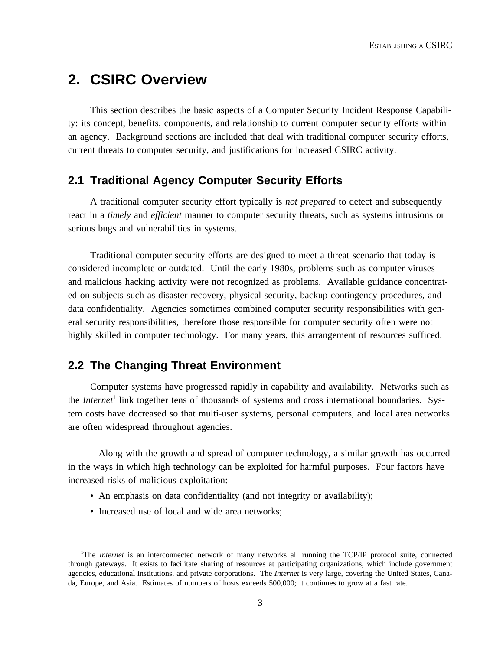# **2. CSIRC Overview**

This section describes the basic aspects of a Computer Security Incident Response Capability: its concept, benefits, components, and relationship to current computer security efforts within an agency. Background sections are included that deal with traditional computer security efforts, current threats to computer security, and justifications for increased CSIRC activity.

## **2.1 Traditional Agency Computer Security Efforts**

A traditional computer security effort typically is *not prepared* to detect and subsequently react in a *timely* and *efficient* manner to computer security threats, such as systems intrusions or serious bugs and vulnerabilities in systems.

Traditional computer security efforts are designed to meet a threat scenario that today is considered incomplete or outdated. Until the early 1980s, problems such as computer viruses and malicious hacking activity were not recognized as problems. Available guidance concentrated on subjects such as disaster recovery, physical security, backup contingency procedures, and data confidentiality. Agencies sometimes combined computer security responsibilities with general security responsibilities, therefore those responsible for computer security often were not highly skilled in computer technology. For many years, this arrangement of resources sufficed.

## **2.2 The Changing Threat Environment**

Computer systems have progressed rapidly in capability and availability. Networks such as the *Internet*<sup>1</sup> link together tens of thousands of systems and cross international boundaries. System costs have decreased so that multi-user systems, personal computers, and local area networks are often widespread throughout agencies.

Along with the growth and spread of computer technology, a similar growth has occurred in the ways in which high technology can be exploited for harmful purposes. Four factors have increased risks of malicious exploitation:

- An emphasis on data confidentiality (and not integrity or availability);
- Increased use of local and wide area networks;

<sup>&</sup>lt;sup>1</sup>The *Internet* is an interconnected network of many networks all running the TCP/IP protocol suite, connected through gateways. It exists to facilitate sharing of resources at participating organizations, which include government agencies, educational institutions, and private corporations. The *Internet* is very large, covering the United States, Canada, Europe, and Asia. Estimates of numbers of hosts exceeds 500,000; it continues to grow at a fast rate.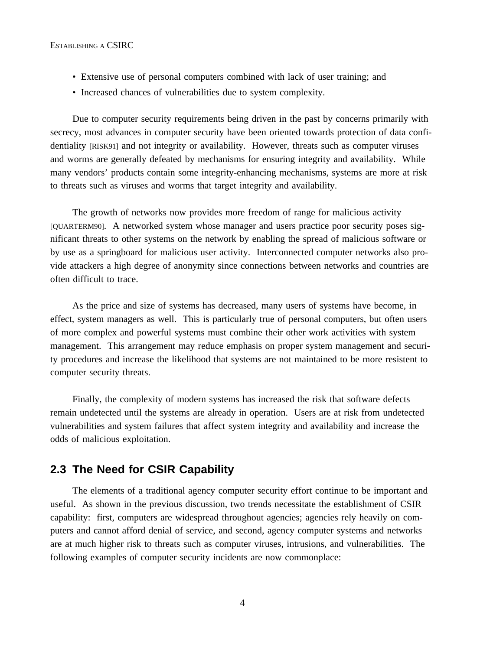- Extensive use of personal computers combined with lack of user training; and
- Increased chances of vulnerabilities due to system complexity.

Due to computer security requirements being driven in the past by concerns primarily with secrecy, most advances in computer security have been oriented towards protection of data confidentiality [RISK91] and not integrity or availability. However, threats such as computer viruses and worms are generally defeated by mechanisms for ensuring integrity and availability. While many vendors' products contain some integrity-enhancing mechanisms, systems are more at risk to threats such as viruses and worms that target integrity and availability.

The growth of networks now provides more freedom of range for malicious activity [QUARTERM90]. A networked system whose manager and users practice poor security poses significant threats to other systems on the network by enabling the spread of malicious software or by use as a springboard for malicious user activity. Interconnected computer networks also provide attackers a high degree of anonymity since connections between networks and countries are often difficult to trace.

As the price and size of systems has decreased, many users of systems have become, in effect, system managers as well. This is particularly true of personal computers, but often users of more complex and powerful systems must combine their other work activities with system management. This arrangement may reduce emphasis on proper system management and security procedures and increase the likelihood that systems are not maintained to be more resistent to computer security threats.

Finally, the complexity of modern systems has increased the risk that software defects remain undetected until the systems are already in operation. Users are at risk from undetected vulnerabilities and system failures that affect system integrity and availability and increase the odds of malicious exploitation.

### **2.3 The Need for CSIR Capability**

The elements of a traditional agency computer security effort continue to be important and useful. As shown in the previous discussion, two trends necessitate the establishment of CSIR capability: first, computers are widespread throughout agencies; agencies rely heavily on computers and cannot afford denial of service, and second, agency computer systems and networks are at much higher risk to threats such as computer viruses, intrusions, and vulnerabilities. The following examples of computer security incidents are now commonplace: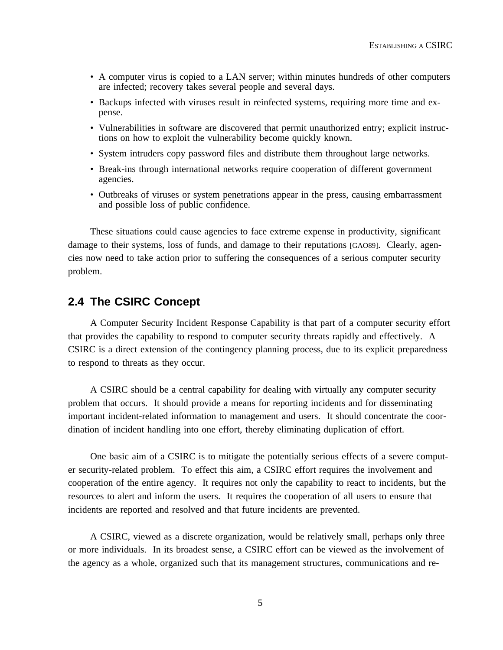- A computer virus is copied to a LAN server; within minutes hundreds of other computers are infected; recovery takes several people and several days.
- Backups infected with viruses result in reinfected systems, requiring more time and expense.
- Vulnerabilities in software are discovered that permit unauthorized entry; explicit instructions on how to exploit the vulnerability become quickly known.
- System intruders copy password files and distribute them throughout large networks.
- Break-ins through international networks require cooperation of different government agencies.
- Outbreaks of viruses or system penetrations appear in the press, causing embarrassment and possible loss of public confidence.

These situations could cause agencies to face extreme expense in productivity, significant damage to their systems, loss of funds, and damage to their reputations [GAO89]. Clearly, agencies now need to take action prior to suffering the consequences of a serious computer security problem.

### **2.4 The CSIRC Concept**

A Computer Security Incident Response Capability is that part of a computer security effort that provides the capability to respond to computer security threats rapidly and effectively. A CSIRC is a direct extension of the contingency planning process, due to its explicit preparedness to respond to threats as they occur.

A CSIRC should be a central capability for dealing with virtually any computer security problem that occurs. It should provide a means for reporting incidents and for disseminating important incident-related information to management and users. It should concentrate the coordination of incident handling into one effort, thereby eliminating duplication of effort.

One basic aim of a CSIRC is to mitigate the potentially serious effects of a severe computer security-related problem. To effect this aim, a CSIRC effort requires the involvement and cooperation of the entire agency. It requires not only the capability to react to incidents, but the resources to alert and inform the users. It requires the cooperation of all users to ensure that incidents are reported and resolved and that future incidents are prevented.

A CSIRC, viewed as a discrete organization, would be relatively small, perhaps only three or more individuals. In its broadest sense, a CSIRC effort can be viewed as the involvement of the agency as a whole, organized such that its management structures, communications and re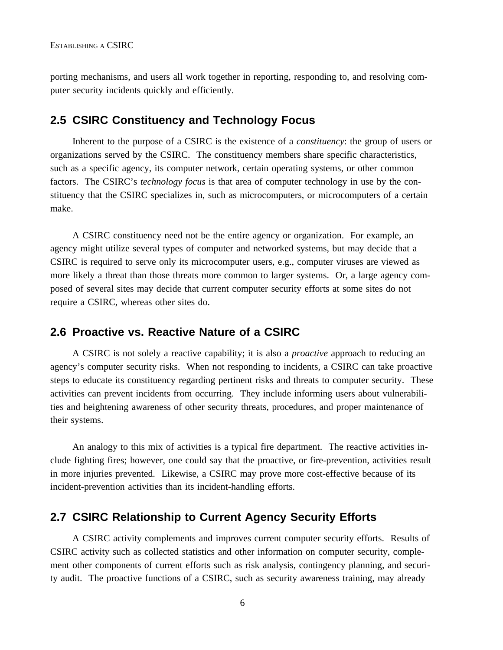porting mechanisms, and users all work together in reporting, responding to, and resolving computer security incidents quickly and efficiently.

## **2.5 CSIRC Constituency and Technology Focus**

Inherent to the purpose of a CSIRC is the existence of a *constituency*: the group of users or organizations served by the CSIRC. The constituency members share specific characteristics, such as a specific agency, its computer network, certain operating systems, or other common factors. The CSIRC's *technology focus* is that area of computer technology in use by the constituency that the CSIRC specializes in, such as microcomputers, or microcomputers of a certain make.

A CSIRC constituency need not be the entire agency or organization. For example, an agency might utilize several types of computer and networked systems, but may decide that a CSIRC is required to serve only its microcomputer users, e.g., computer viruses are viewed as more likely a threat than those threats more common to larger systems. Or, a large agency composed of several sites may decide that current computer security efforts at some sites do not require a CSIRC, whereas other sites do.

### **2.6 Proactive vs. Reactive Nature of a CSIRC**

A CSIRC is not solely a reactive capability; it is also a *proactive* approach to reducing an agency's computer security risks. When not responding to incidents, a CSIRC can take proactive steps to educate its constituency regarding pertinent risks and threats to computer security. These activities can prevent incidents from occurring. They include informing users about vulnerabilities and heightening awareness of other security threats, procedures, and proper maintenance of their systems.

An analogy to this mix of activities is a typical fire department. The reactive activities include fighting fires; however, one could say that the proactive, or fire-prevention, activities result in more injuries prevented. Likewise, a CSIRC may prove more cost-effective because of its incident-prevention activities than its incident-handling efforts.

## **2.7 CSIRC Relationship to Current Agency Security Efforts**

A CSIRC activity complements and improves current computer security efforts. Results of CSIRC activity such as collected statistics and other information on computer security, complement other components of current efforts such as risk analysis, contingency planning, and security audit. The proactive functions of a CSIRC, such as security awareness training, may already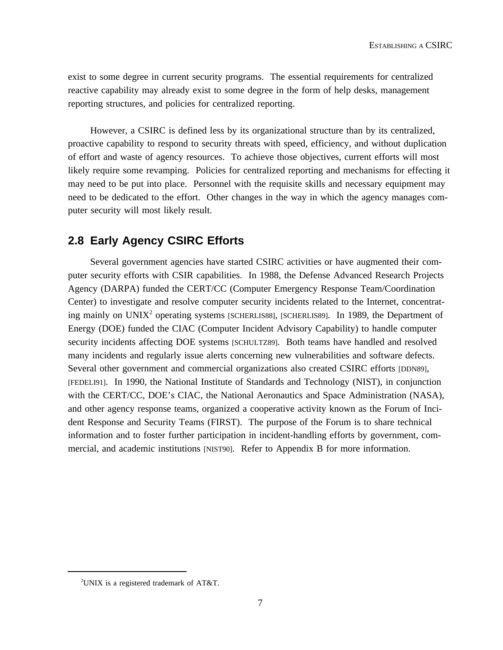exist to some degree in current security programs. The essential requirements for centralized reactive capability may already exist to some degree in the form of help desks, management reporting structures, and policies for centralized reporting.

However, a CSIRC is defined less by its organizational structure than by its centralized, proactive capability to respond to security threats with speed, efficiency, and without duplication of effort and waste of agency resources. To achieve those objectives, current efforts will most likely require some revamping. Policies for centralized reporting and mechanisms for effecting it may need to be put into place. Personnel with the requisite skills and necessary equipment may need to be dedicated to the effort. Other changes in the way in which the agency manages computer security will most likely result.

## **2.8 Early Agency CSIRC Efforts**

Several government agencies have started CSIRC activities or have augmented their computer security efforts with CSIR capabilities. In 1988, the Defense Advanced Research Projects Agency (DARPA) funded the CERT/CC (Computer Emergency Response Team/Coordination Center) to investigate and resolve computer security incidents related to the Internet, concentrating mainly on UNIX<sup>2</sup> operating systems [SCHERLIS88], [SCHERLIS89]. In 1989, the Department of Energy (DOE) funded the CIAC (Computer Incident Advisory Capability) to handle computer security incidents affecting DOE systems [SCHULTZ89]. Both teams have handled and resolved many incidents and regularly issue alerts concerning new vulnerabilities and software defects. Several other government and commercial organizations also created CSIRC efforts [DDN89], [FEDELI91]. In 1990, the National Institute of Standards and Technology (NIST), in conjunction with the CERT/CC, DOE's CIAC, the National Aeronautics and Space Administration (NASA), and other agency response teams, organized a cooperative activity known as the Forum of Incident Response and Security Teams (FIRST). The purpose of the Forum is to share technical information and to foster further participation in incident-handling efforts by government, commercial, and academic institutions [NIST90]. Refer to Appendix B for more information.

<sup>&</sup>lt;sup>2</sup>UNIX is a registered trademark of AT&T.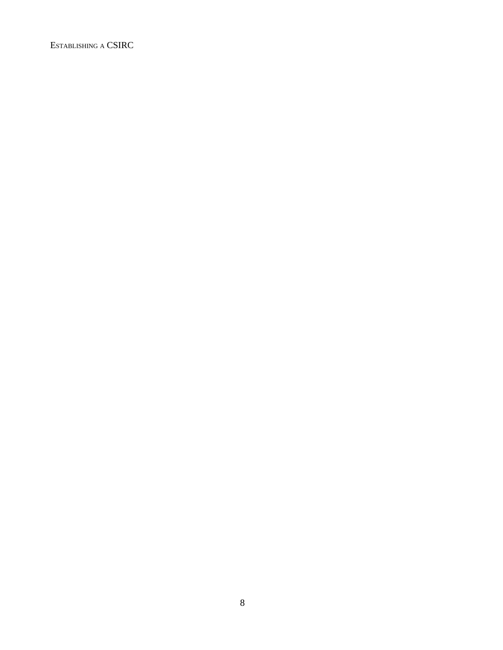ESTABLISHING A CSIRC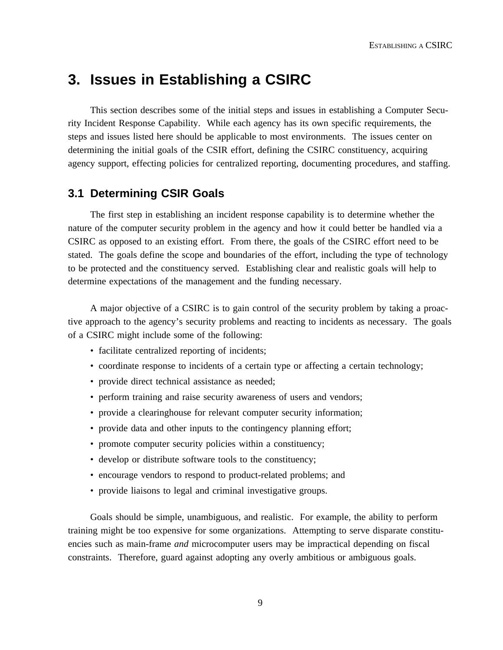## **3. Issues in Establishing a CSIRC**

This section describes some of the initial steps and issues in establishing a Computer Security Incident Response Capability. While each agency has its own specific requirements, the steps and issues listed here should be applicable to most environments. The issues center on determining the initial goals of the CSIR effort, defining the CSIRC constituency, acquiring agency support, effecting policies for centralized reporting, documenting procedures, and staffing.

## **3.1 Determining CSIR Goals**

The first step in establishing an incident response capability is to determine whether the nature of the computer security problem in the agency and how it could better be handled via a CSIRC as opposed to an existing effort. From there, the goals of the CSIRC effort need to be stated. The goals define the scope and boundaries of the effort, including the type of technology to be protected and the constituency served. Establishing clear and realistic goals will help to determine expectations of the management and the funding necessary.

A major objective of a CSIRC is to gain control of the security problem by taking a proactive approach to the agency's security problems and reacting to incidents as necessary. The goals of a CSIRC might include some of the following:

- facilitate centralized reporting of incidents;
- coordinate response to incidents of a certain type or affecting a certain technology;
- provide direct technical assistance as needed;
- perform training and raise security awareness of users and vendors;
- provide a clearinghouse for relevant computer security information;
- provide data and other inputs to the contingency planning effort;
- promote computer security policies within a constituency;
- develop or distribute software tools to the constituency;
- encourage vendors to respond to product-related problems; and
- provide liaisons to legal and criminal investigative groups.

Goals should be simple, unambiguous, and realistic. For example, the ability to perform training might be too expensive for some organizations. Attempting to serve disparate constituencies such as main-frame *and* microcomputer users may be impractical depending on fiscal constraints. Therefore, guard against adopting any overly ambitious or ambiguous goals.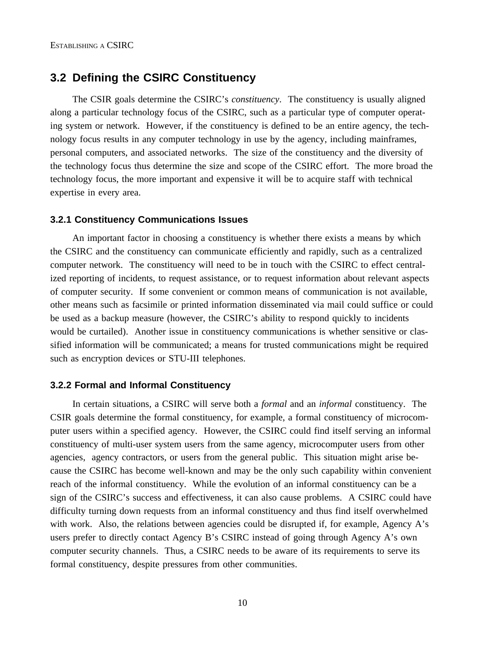## **3.2 Defining the CSIRC Constituency**

The CSIR goals determine the CSIRC's *constituency*. The constituency is usually aligned along a particular technology focus of the CSIRC, such as a particular type of computer operating system or network. However, if the constituency is defined to be an entire agency, the technology focus results in any computer technology in use by the agency, including mainframes, personal computers, and associated networks. The size of the constituency and the diversity of the technology focus thus determine the size and scope of the CSIRC effort. The more broad the technology focus, the more important and expensive it will be to acquire staff with technical expertise in every area.

#### **3.2.1 Constituency Communications Issues**

An important factor in choosing a constituency is whether there exists a means by which the CSIRC and the constituency can communicate efficiently and rapidly, such as a centralized computer network. The constituency will need to be in touch with the CSIRC to effect centralized reporting of incidents, to request assistance, or to request information about relevant aspects of computer security. If some convenient or common means of communication is not available, other means such as facsimile or printed information disseminated via mail could suffice or could be used as a backup measure (however, the CSIRC's ability to respond quickly to incidents would be curtailed). Another issue in constituency communications is whether sensitive or classified information will be communicated; a means for trusted communications might be required such as encryption devices or STU-III telephones.

#### **3.2.2 Formal and Informal Constituency**

In certain situations, a CSIRC will serve both a *formal* and an *informal* constituency. The CSIR goals determine the formal constituency, for example, a formal constituency of microcomputer users within a specified agency. However, the CSIRC could find itself serving an informal constituency of multi-user system users from the same agency, microcomputer users from other agencies, agency contractors, or users from the general public. This situation might arise because the CSIRC has become well-known and may be the only such capability within convenient reach of the informal constituency. While the evolution of an informal constituency can be a sign of the CSIRC's success and effectiveness, it can also cause problems. A CSIRC could have difficulty turning down requests from an informal constituency and thus find itself overwhelmed with work. Also, the relations between agencies could be disrupted if, for example, Agency A's users prefer to directly contact Agency B's CSIRC instead of going through Agency A's own computer security channels. Thus, a CSIRC needs to be aware of its requirements to serve its formal constituency, despite pressures from other communities.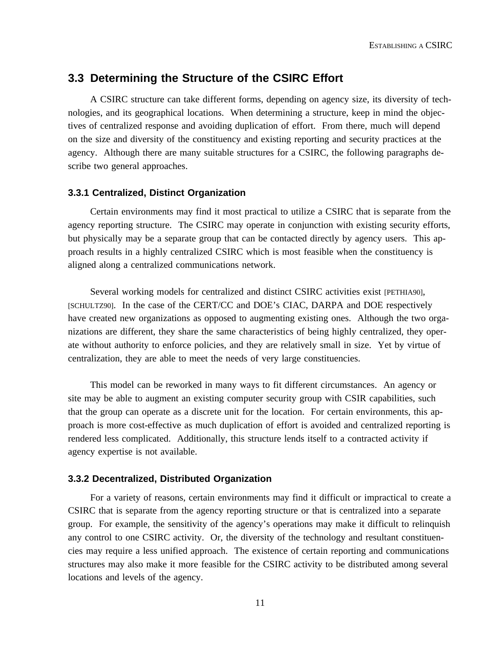## **3.3 Determining the Structure of the CSIRC Effort**

A CSIRC structure can take different forms, depending on agency size, its diversity of technologies, and its geographical locations. When determining a structure, keep in mind the objectives of centralized response and avoiding duplication of effort. From there, much will depend on the size and diversity of the constituency and existing reporting and security practices at the agency. Although there are many suitable structures for a CSIRC, the following paragraphs describe two general approaches.

#### **3.3.1 Centralized, Distinct Organization**

Certain environments may find it most practical to utilize a CSIRC that is separate from the agency reporting structure. The CSIRC may operate in conjunction with existing security efforts, but physically may be a separate group that can be contacted directly by agency users. This approach results in a highly centralized CSIRC which is most feasible when the constituency is aligned along a centralized communications network.

Several working models for centralized and distinct CSIRC activities exist [PETHIA90], [SCHULTZ90]. In the case of the CERT/CC and DOE's CIAC, DARPA and DOE respectively have created new organizations as opposed to augmenting existing ones. Although the two organizations are different, they share the same characteristics of being highly centralized, they operate without authority to enforce policies, and they are relatively small in size. Yet by virtue of centralization, they are able to meet the needs of very large constituencies.

This model can be reworked in many ways to fit different circumstances. An agency or site may be able to augment an existing computer security group with CSIR capabilities, such that the group can operate as a discrete unit for the location. For certain environments, this approach is more cost-effective as much duplication of effort is avoided and centralized reporting is rendered less complicated. Additionally, this structure lends itself to a contracted activity if agency expertise is not available.

#### **3.3.2 Decentralized, Distributed Organization**

For a variety of reasons, certain environments may find it difficult or impractical to create a CSIRC that is separate from the agency reporting structure or that is centralized into a separate group. For example, the sensitivity of the agency's operations may make it difficult to relinquish any control to one CSIRC activity. Or, the diversity of the technology and resultant constituencies may require a less unified approach. The existence of certain reporting and communications structures may also make it more feasible for the CSIRC activity to be distributed among several locations and levels of the agency.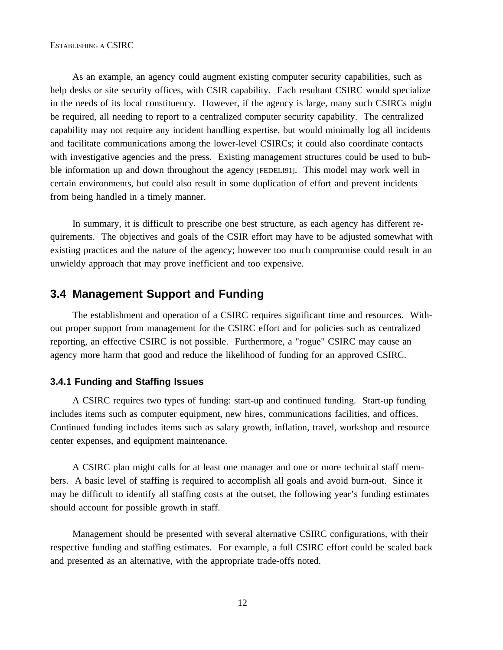As an example, an agency could augment existing computer security capabilities, such as help desks or site security offices, with CSIR capability. Each resultant CSIRC would specialize in the needs of its local constituency. However, if the agency is large, many such CSIRCs might be required, all needing to report to a centralized computer security capability. The centralized capability may not require any incident handling expertise, but would minimally log all incidents and facilitate communications among the lower-level CSIRCs; it could also coordinate contacts with investigative agencies and the press. Existing management structures could be used to bubble information up and down throughout the agency [FEDELI91]. This model may work well in certain environments, but could also result in some duplication of effort and prevent incidents from being handled in a timely manner.

In summary, it is difficult to prescribe one best structure, as each agency has different requirements. The objectives and goals of the CSIR effort may have to be adjusted somewhat with existing practices and the nature of the agency; however too much compromise could result in an unwieldy approach that may prove inefficient and too expensive.

## **3.4 Management Support and Funding**

The establishment and operation of a CSIRC requires significant time and resources. Without proper support from management for the CSIRC effort and for policies such as centralized reporting, an effective CSIRC is not possible. Furthermore, a "rogue" CSIRC may cause an agency more harm that good and reduce the likelihood of funding for an approved CSIRC.

#### **3.4.1 Funding and Staffing Issues**

A CSIRC requires two types of funding: start-up and continued funding. Start-up funding includes items such as computer equipment, new hires, communications facilities, and offices. Continued funding includes items such as salary growth, inflation, travel, workshop and resource center expenses, and equipment maintenance.

A CSIRC plan might calls for at least one manager and one or more technical staff members. A basic level of staffing is required to accomplish all goals and avoid burn-out. Since it may be difficult to identify all staffing costs at the outset, the following year's funding estimates should account for possible growth in staff.

Management should be presented with several alternative CSIRC configurations, with their respective funding and staffing estimates. For example, a full CSIRC effort could be scaled back and presented as an alternative, with the appropriate trade-offs noted.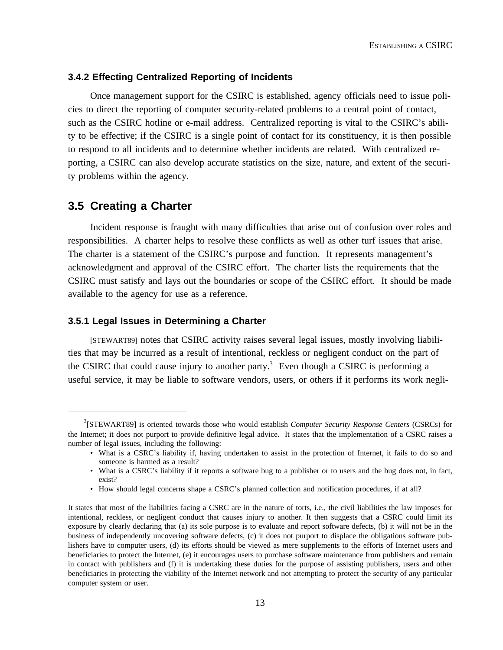#### **3.4.2 Effecting Centralized Reporting of Incidents**

Once management support for the CSIRC is established, agency officials need to issue policies to direct the reporting of computer security-related problems to a central point of contact, such as the CSIRC hotline or e-mail address. Centralized reporting is vital to the CSIRC's ability to be effective; if the CSIRC is a single point of contact for its constituency, it is then possible to respond to all incidents and to determine whether incidents are related. With centralized reporting, a CSIRC can also develop accurate statistics on the size, nature, and extent of the security problems within the agency.

## **3.5 Creating a Charter**

Incident response is fraught with many difficulties that arise out of confusion over roles and responsibilities. A charter helps to resolve these conflicts as well as other turf issues that arise. The charter is a statement of the CSIRC's purpose and function. It represents management's acknowledgment and approval of the CSIRC effort. The charter lists the requirements that the CSIRC must satisfy and lays out the boundaries or scope of the CSIRC effort. It should be made available to the agency for use as a reference.

#### **3.5.1 Legal Issues in Determining a Charter**

[STEWART89] notes that CSIRC activity raises several legal issues, mostly involving liabilities that may be incurred as a result of intentional, reckless or negligent conduct on the part of the CSIRC that could cause injury to another party.<sup>3</sup> Even though a CSIRC is performing a useful service, it may be liable to software vendors, users, or others if it performs its work negli-

<sup>3</sup> [STEWART89] is oriented towards those who would establish *Computer Security Response Centers* (CSRCs) for the Internet; it does not purport to provide definitive legal advice. It states that the implementation of a CSRC raises a number of legal issues, including the following:

<sup>•</sup> What is a CSRC's liability if, having undertaken to assist in the protection of Internet, it fails to do so and someone is harmed as a result?

<sup>•</sup> What is a CSRC's liability if it reports a software bug to a publisher or to users and the bug does not, in fact, exist?

<sup>•</sup> How should legal concerns shape a CSRC's planned collection and notification procedures, if at all?

It states that most of the liabilities facing a CSRC are in the nature of torts, i.e., the civil liabilities the law imposes for intentional, reckless, or negligent conduct that causes injury to another. It then suggests that a CSRC could limit its exposure by clearly declaring that (a) its sole purpose is to evaluate and report software defects, (b) it will not be in the business of independently uncovering software defects, (c) it does not purport to displace the obligations software publishers have to computer users, (d) its efforts should be viewed as mere supplements to the efforts of Internet users and beneficiaries to protect the Internet, (e) it encourages users to purchase software maintenance from publishers and remain in contact with publishers and (f) it is undertaking these duties for the purpose of assisting publishers, users and other beneficiaries in protecting the viability of the Internet network and not attempting to protect the security of any particular computer system or user.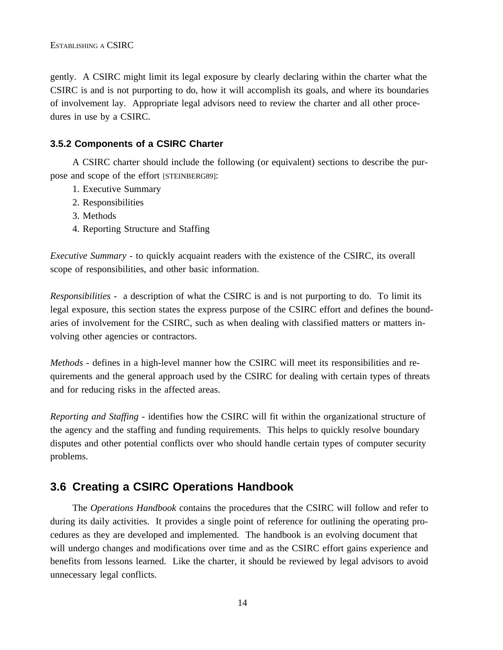gently. A CSIRC might limit its legal exposure by clearly declaring within the charter what the CSIRC is and is not purporting to do, how it will accomplish its goals, and where its boundaries of involvement lay. Appropriate legal advisors need to review the charter and all other procedures in use by a CSIRC.

#### **3.5.2 Components of a CSIRC Charter**

A CSIRC charter should include the following (or equivalent) sections to describe the purpose and scope of the effort [STEINBERG89]:

- 1. Executive Summary
- 2. Responsibilities
- 3. Methods
- 4. Reporting Structure and Staffing

*Executive Summary* - to quickly acquaint readers with the existence of the CSIRC, its overall scope of responsibilities, and other basic information.

*Responsibilities* - a description of what the CSIRC is and is not purporting to do. To limit its legal exposure, this section states the express purpose of the CSIRC effort and defines the boundaries of involvement for the CSIRC, such as when dealing with classified matters or matters involving other agencies or contractors.

*Methods* - defines in a high-level manner how the CSIRC will meet its responsibilities and requirements and the general approach used by the CSIRC for dealing with certain types of threats and for reducing risks in the affected areas.

*Reporting and Staffing* - identifies how the CSIRC will fit within the organizational structure of the agency and the staffing and funding requirements. This helps to quickly resolve boundary disputes and other potential conflicts over who should handle certain types of computer security problems.

## **3.6 Creating a CSIRC Operations Handbook**

The *Operations Handbook* contains the procedures that the CSIRC will follow and refer to during its daily activities. It provides a single point of reference for outlining the operating procedures as they are developed and implemented. The handbook is an evolving document that will undergo changes and modifications over time and as the CSIRC effort gains experience and benefits from lessons learned. Like the charter, it should be reviewed by legal advisors to avoid unnecessary legal conflicts.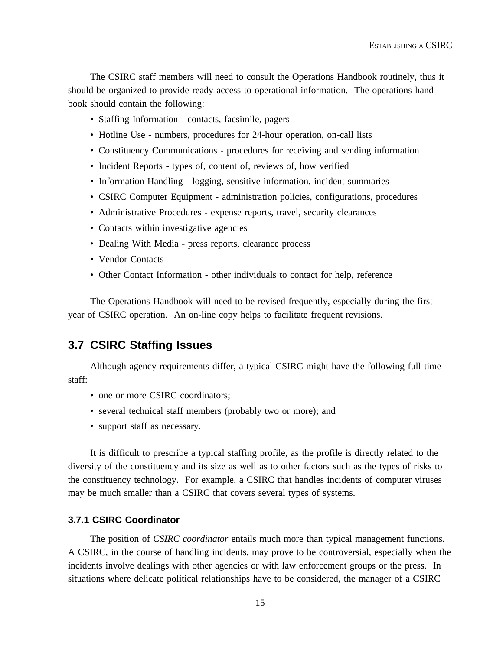The CSIRC staff members will need to consult the Operations Handbook routinely, thus it should be organized to provide ready access to operational information. The operations handbook should contain the following:

- Staffing Information contacts, facsimile, pagers
- Hotline Use numbers, procedures for 24-hour operation, on-call lists
- Constituency Communications procedures for receiving and sending information
- Incident Reports types of, content of, reviews of, how verified
- Information Handling logging, sensitive information, incident summaries
- CSIRC Computer Equipment administration policies, configurations, procedures
- Administrative Procedures expense reports, travel, security clearances
- Contacts within investigative agencies
- Dealing With Media press reports, clearance process
- Vendor Contacts
- Other Contact Information other individuals to contact for help, reference

The Operations Handbook will need to be revised frequently, especially during the first year of CSIRC operation. An on-line copy helps to facilitate frequent revisions.

## **3.7 CSIRC Staffing Issues**

Although agency requirements differ, a typical CSIRC might have the following full-time staff:

- one or more CSIRC coordinators;
- several technical staff members (probably two or more); and
- support staff as necessary.

It is difficult to prescribe a typical staffing profile, as the profile is directly related to the diversity of the constituency and its size as well as to other factors such as the types of risks to the constituency technology. For example, a CSIRC that handles incidents of computer viruses may be much smaller than a CSIRC that covers several types of systems.

#### **3.7.1 CSIRC Coordinator**

The position of *CSIRC coordinator* entails much more than typical management functions. A CSIRC, in the course of handling incidents, may prove to be controversial, especially when the incidents involve dealings with other agencies or with law enforcement groups or the press. In situations where delicate political relationships have to be considered, the manager of a CSIRC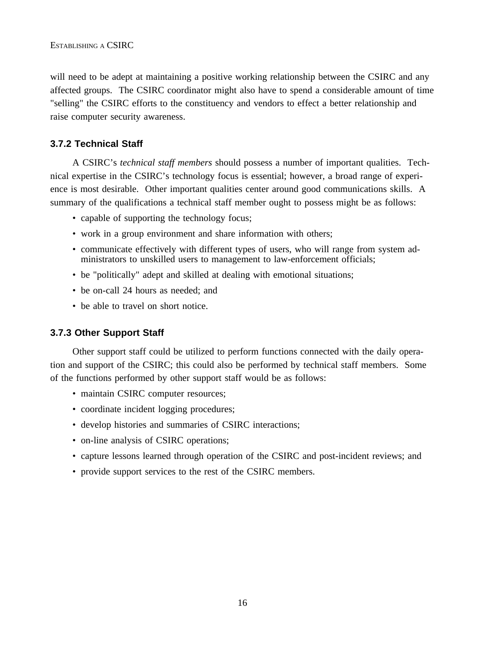will need to be adept at maintaining a positive working relationship between the CSIRC and any affected groups. The CSIRC coordinator might also have to spend a considerable amount of time "selling" the CSIRC efforts to the constituency and vendors to effect a better relationship and raise computer security awareness.

#### **3.7.2 Technical Staff**

A CSIRC's *technical staff members* should possess a number of important qualities. Technical expertise in the CSIRC's technology focus is essential; however, a broad range of experience is most desirable. Other important qualities center around good communications skills. A summary of the qualifications a technical staff member ought to possess might be as follows:

- capable of supporting the technology focus;
- work in a group environment and share information with others;
- communicate effectively with different types of users, who will range from system administrators to unskilled users to management to law-enforcement officials;
- be "politically" adept and skilled at dealing with emotional situations;
- be on-call 24 hours as needed; and
- be able to travel on short notice.

#### **3.7.3 Other Support Staff**

Other support staff could be utilized to perform functions connected with the daily operation and support of the CSIRC; this could also be performed by technical staff members. Some of the functions performed by other support staff would be as follows:

- maintain CSIRC computer resources;
- coordinate incident logging procedures;
- develop histories and summaries of CSIRC interactions;
- on-line analysis of CSIRC operations;
- capture lessons learned through operation of the CSIRC and post-incident reviews; and
- provide support services to the rest of the CSIRC members.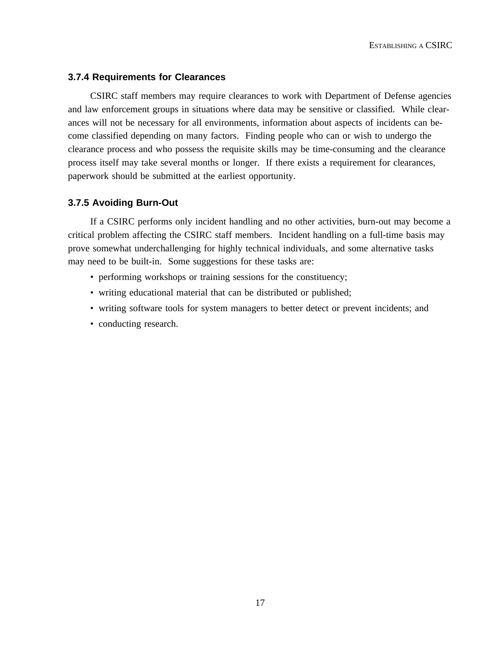#### **3.7.4 Requirements for Clearances**

CSIRC staff members may require clearances to work with Department of Defense agencies and law enforcement groups in situations where data may be sensitive or classified. While clearances will not be necessary for all environments, information about aspects of incidents can become classified depending on many factors. Finding people who can or wish to undergo the clearance process and who possess the requisite skills may be time-consuming and the clearance process itself may take several months or longer. If there exists a requirement for clearances, paperwork should be submitted at the earliest opportunity.

#### **3.7.5 Avoiding Burn-Out**

If a CSIRC performs only incident handling and no other activities, burn-out may become a critical problem affecting the CSIRC staff members. Incident handling on a full-time basis may prove somewhat underchallenging for highly technical individuals, and some alternative tasks may need to be built-in. Some suggestions for these tasks are:

- performing workshops or training sessions for the constituency;
- writing educational material that can be distributed or published;
- writing software tools for system managers to better detect or prevent incidents; and
- conducting research.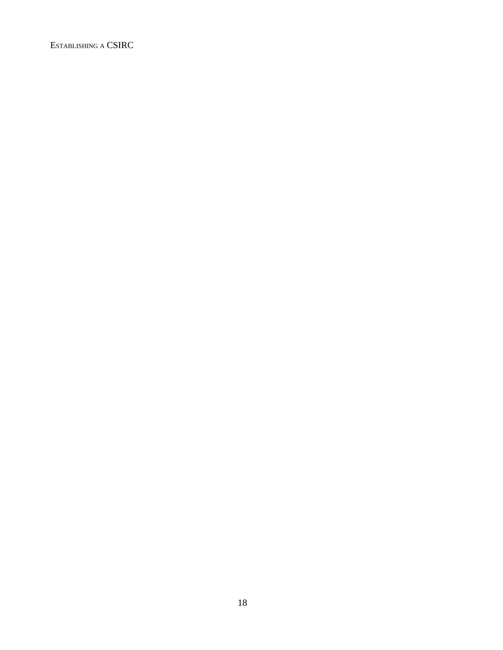ESTABLISHING A CSIRC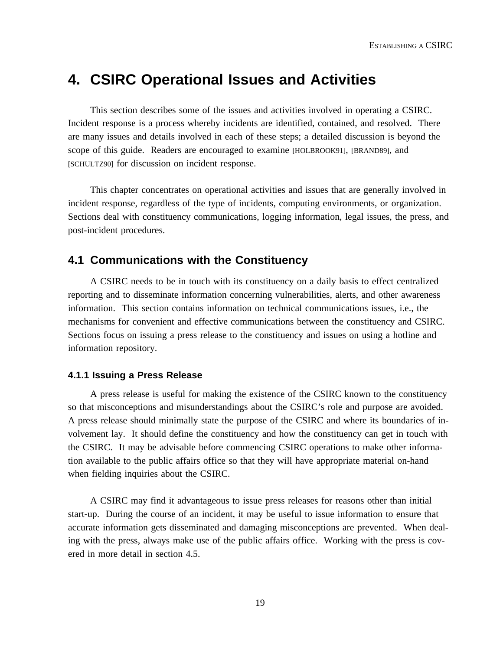## **4. CSIRC Operational Issues and Activities**

This section describes some of the issues and activities involved in operating a CSIRC. Incident response is a process whereby incidents are identified, contained, and resolved. There are many issues and details involved in each of these steps; a detailed discussion is beyond the scope of this guide. Readers are encouraged to examine [HOLBROOK91], [BRAND89], and [SCHULTZ90] for discussion on incident response.

This chapter concentrates on operational activities and issues that are generally involved in incident response, regardless of the type of incidents, computing environments, or organization. Sections deal with constituency communications, logging information, legal issues, the press, and post-incident procedures.

### **4.1 Communications with the Constituency**

A CSIRC needs to be in touch with its constituency on a daily basis to effect centralized reporting and to disseminate information concerning vulnerabilities, alerts, and other awareness information. This section contains information on technical communications issues, i.e., the mechanisms for convenient and effective communications between the constituency and CSIRC. Sections focus on issuing a press release to the constituency and issues on using a hotline and information repository.

#### **4.1.1 Issuing a Press Release**

A press release is useful for making the existence of the CSIRC known to the constituency so that misconceptions and misunderstandings about the CSIRC's role and purpose are avoided. A press release should minimally state the purpose of the CSIRC and where its boundaries of involvement lay. It should define the constituency and how the constituency can get in touch with the CSIRC. It may be advisable before commencing CSIRC operations to make other information available to the public affairs office so that they will have appropriate material on-hand when fielding inquiries about the CSIRC.

A CSIRC may find it advantageous to issue press releases for reasons other than initial start-up. During the course of an incident, it may be useful to issue information to ensure that accurate information gets disseminated and damaging misconceptions are prevented. When dealing with the press, always make use of the public affairs office. Working with the press is covered in more detail in section 4.5.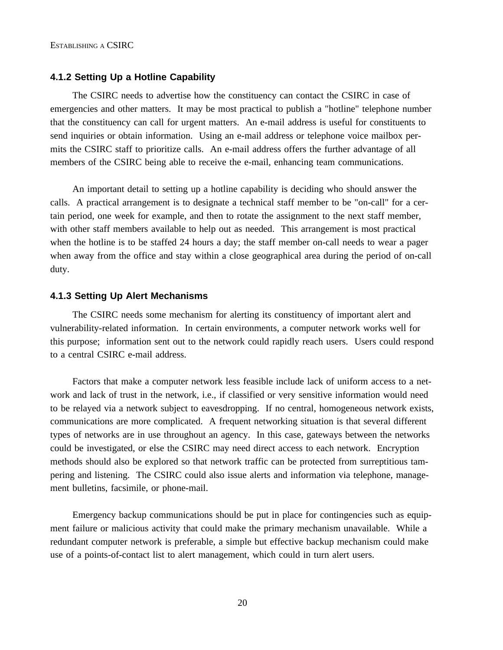#### **4.1.2 Setting Up a Hotline Capability**

The CSIRC needs to advertise how the constituency can contact the CSIRC in case of emergencies and other matters. It may be most practical to publish a "hotline" telephone number that the constituency can call for urgent matters. An e-mail address is useful for constituents to send inquiries or obtain information. Using an e-mail address or telephone voice mailbox permits the CSIRC staff to prioritize calls. An e-mail address offers the further advantage of all members of the CSIRC being able to receive the e-mail, enhancing team communications.

An important detail to setting up a hotline capability is deciding who should answer the calls. A practical arrangement is to designate a technical staff member to be "on-call" for a certain period, one week for example, and then to rotate the assignment to the next staff member, with other staff members available to help out as needed. This arrangement is most practical when the hotline is to be staffed 24 hours a day; the staff member on-call needs to wear a pager when away from the office and stay within a close geographical area during the period of on-call duty.

#### **4.1.3 Setting Up Alert Mechanisms**

The CSIRC needs some mechanism for alerting its constituency of important alert and vulnerability-related information. In certain environments, a computer network works well for this purpose; information sent out to the network could rapidly reach users. Users could respond to a central CSIRC e-mail address.

Factors that make a computer network less feasible include lack of uniform access to a network and lack of trust in the network, i.e., if classified or very sensitive information would need to be relayed via a network subject to eavesdropping. If no central, homogeneous network exists, communications are more complicated. A frequent networking situation is that several different types of networks are in use throughout an agency. In this case, gateways between the networks could be investigated, or else the CSIRC may need direct access to each network. Encryption methods should also be explored so that network traffic can be protected from surreptitious tampering and listening. The CSIRC could also issue alerts and information via telephone, management bulletins, facsimile, or phone-mail.

Emergency backup communications should be put in place for contingencies such as equipment failure or malicious activity that could make the primary mechanism unavailable. While a redundant computer network is preferable, a simple but effective backup mechanism could make use of a points-of-contact list to alert management, which could in turn alert users.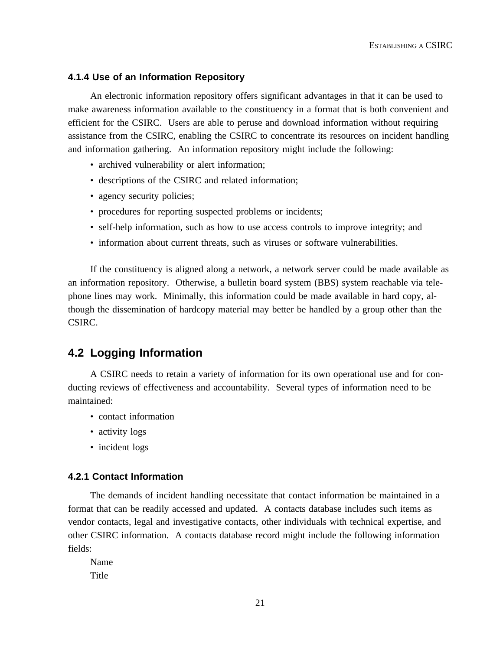#### **4.1.4 Use of an Information Repository**

An electronic information repository offers significant advantages in that it can be used to make awareness information available to the constituency in a format that is both convenient and efficient for the CSIRC. Users are able to peruse and download information without requiring assistance from the CSIRC, enabling the CSIRC to concentrate its resources on incident handling and information gathering. An information repository might include the following:

- archived vulnerability or alert information;
- descriptions of the CSIRC and related information;
- agency security policies;
- procedures for reporting suspected problems or incidents;
- self-help information, such as how to use access controls to improve integrity; and
- information about current threats, such as viruses or software vulnerabilities.

If the constituency is aligned along a network, a network server could be made available as an information repository. Otherwise, a bulletin board system (BBS) system reachable via telephone lines may work. Minimally, this information could be made available in hard copy, although the dissemination of hardcopy material may better be handled by a group other than the CSIRC.

## **4.2 Logging Information**

A CSIRC needs to retain a variety of information for its own operational use and for conducting reviews of effectiveness and accountability. Several types of information need to be maintained:

- contact information
- activity logs
- incident logs

#### **4.2.1 Contact Information**

The demands of incident handling necessitate that contact information be maintained in a format that can be readily accessed and updated. A contacts database includes such items as vendor contacts, legal and investigative contacts, other individuals with technical expertise, and other CSIRC information. A contacts database record might include the following information fields:

Name Title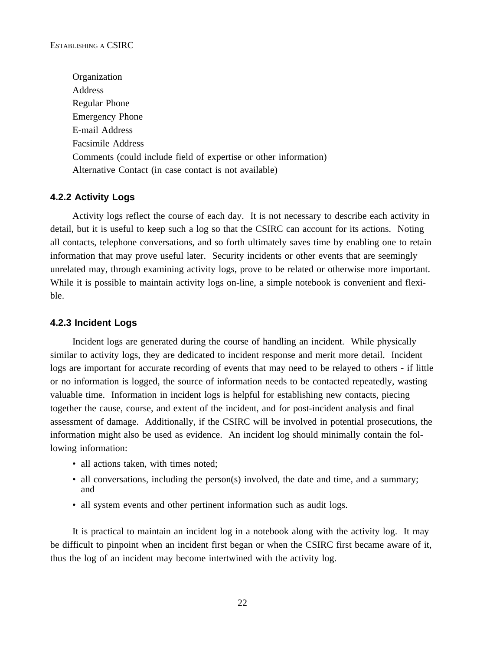Organization Address Regular Phone Emergency Phone E-mail Address Facsimile Address Comments (could include field of expertise or other information) Alternative Contact (in case contact is not available)

#### **4.2.2 Activity Logs**

Activity logs reflect the course of each day. It is not necessary to describe each activity in detail, but it is useful to keep such a log so that the CSIRC can account for its actions. Noting all contacts, telephone conversations, and so forth ultimately saves time by enabling one to retain information that may prove useful later. Security incidents or other events that are seemingly unrelated may, through examining activity logs, prove to be related or otherwise more important. While it is possible to maintain activity logs on-line, a simple notebook is convenient and flexible.

#### **4.2.3 Incident Logs**

Incident logs are generated during the course of handling an incident. While physically similar to activity logs, they are dedicated to incident response and merit more detail. Incident logs are important for accurate recording of events that may need to be relayed to others - if little or no information is logged, the source of information needs to be contacted repeatedly, wasting valuable time. Information in incident logs is helpful for establishing new contacts, piecing together the cause, course, and extent of the incident, and for post-incident analysis and final assessment of damage. Additionally, if the CSIRC will be involved in potential prosecutions, the information might also be used as evidence. An incident log should minimally contain the following information:

- all actions taken, with times noted;
- all conversations, including the person(s) involved, the date and time, and a summary; and
- all system events and other pertinent information such as audit logs.

It is practical to maintain an incident log in a notebook along with the activity log. It may be difficult to pinpoint when an incident first began or when the CSIRC first became aware of it, thus the log of an incident may become intertwined with the activity log.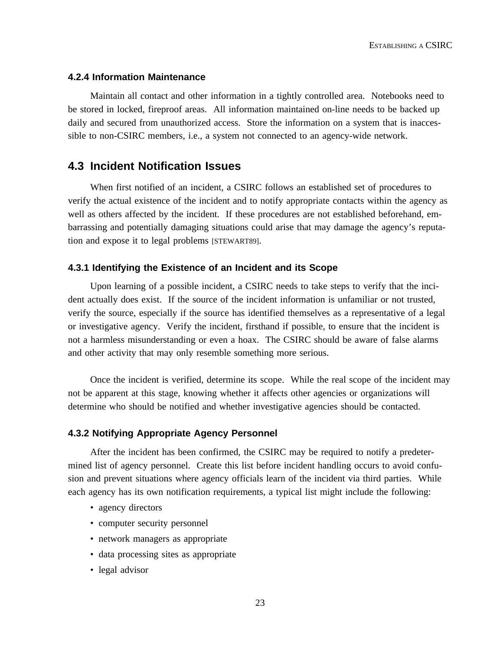#### **4.2.4 Information Maintenance**

Maintain all contact and other information in a tightly controlled area. Notebooks need to be stored in locked, fireproof areas. All information maintained on-line needs to be backed up daily and secured from unauthorized access. Store the information on a system that is inaccessible to non-CSIRC members, i.e., a system not connected to an agency-wide network.

### **4.3 Incident Notification Issues**

When first notified of an incident, a CSIRC follows an established set of procedures to verify the actual existence of the incident and to notify appropriate contacts within the agency as well as others affected by the incident. If these procedures are not established beforehand, embarrassing and potentially damaging situations could arise that may damage the agency's reputation and expose it to legal problems [STEWART89].

#### **4.3.1 Identifying the Existence of an Incident and its Scope**

Upon learning of a possible incident, a CSIRC needs to take steps to verify that the incident actually does exist. If the source of the incident information is unfamiliar or not trusted, verify the source, especially if the source has identified themselves as a representative of a legal or investigative agency. Verify the incident, firsthand if possible, to ensure that the incident is not a harmless misunderstanding or even a hoax. The CSIRC should be aware of false alarms and other activity that may only resemble something more serious.

Once the incident is verified, determine its scope. While the real scope of the incident may not be apparent at this stage, knowing whether it affects other agencies or organizations will determine who should be notified and whether investigative agencies should be contacted.

#### **4.3.2 Notifying Appropriate Agency Personnel**

After the incident has been confirmed, the CSIRC may be required to notify a predetermined list of agency personnel. Create this list before incident handling occurs to avoid confusion and prevent situations where agency officials learn of the incident via third parties. While each agency has its own notification requirements, a typical list might include the following:

- agency directors
- computer security personnel
- network managers as appropriate
- data processing sites as appropriate
- legal advisor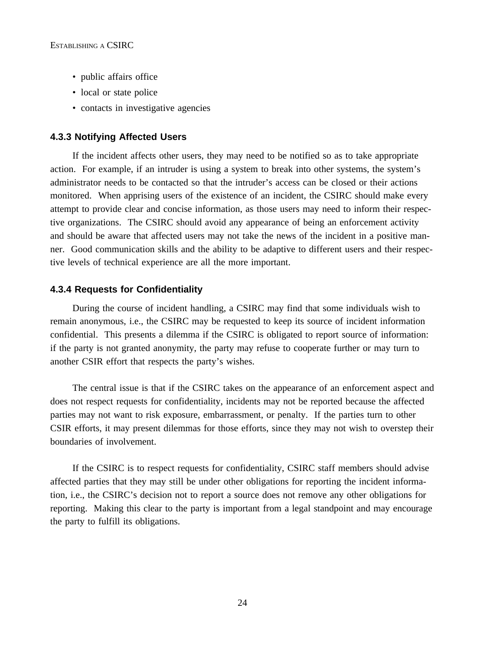- public affairs office
- local or state police
- contacts in investigative agencies

#### **4.3.3 Notifying Affected Users**

If the incident affects other users, they may need to be notified so as to take appropriate action. For example, if an intruder is using a system to break into other systems, the system's administrator needs to be contacted so that the intruder's access can be closed or their actions monitored. When apprising users of the existence of an incident, the CSIRC should make every attempt to provide clear and concise information, as those users may need to inform their respective organizations. The CSIRC should avoid any appearance of being an enforcement activity and should be aware that affected users may not take the news of the incident in a positive manner. Good communication skills and the ability to be adaptive to different users and their respective levels of technical experience are all the more important.

#### **4.3.4 Requests for Confidentiality**

During the course of incident handling, a CSIRC may find that some individuals wish to remain anonymous, i.e., the CSIRC may be requested to keep its source of incident information confidential. This presents a dilemma if the CSIRC is obligated to report source of information: if the party is not granted anonymity, the party may refuse to cooperate further or may turn to another CSIR effort that respects the party's wishes.

The central issue is that if the CSIRC takes on the appearance of an enforcement aspect and does not respect requests for confidentiality, incidents may not be reported because the affected parties may not want to risk exposure, embarrassment, or penalty. If the parties turn to other CSIR efforts, it may present dilemmas for those efforts, since they may not wish to overstep their boundaries of involvement.

If the CSIRC is to respect requests for confidentiality, CSIRC staff members should advise affected parties that they may still be under other obligations for reporting the incident information, i.e., the CSIRC's decision not to report a source does not remove any other obligations for reporting. Making this clear to the party is important from a legal standpoint and may encourage the party to fulfill its obligations.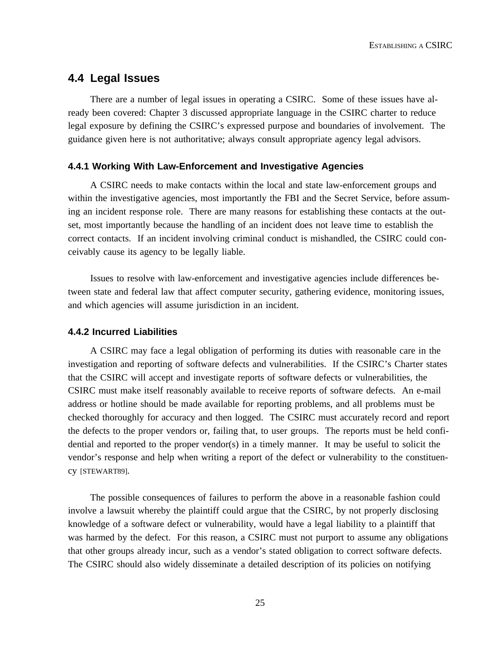## **4.4 Legal Issues**

There are a number of legal issues in operating a CSIRC. Some of these issues have already been covered: Chapter 3 discussed appropriate language in the CSIRC charter to reduce legal exposure by defining the CSIRC's expressed purpose and boundaries of involvement. The guidance given here is not authoritative; always consult appropriate agency legal advisors.

#### **4.4.1 Working With Law-Enforcement and Investigative Agencies**

A CSIRC needs to make contacts within the local and state law-enforcement groups and within the investigative agencies, most importantly the FBI and the Secret Service, before assuming an incident response role. There are many reasons for establishing these contacts at the outset, most importantly because the handling of an incident does not leave time to establish the correct contacts. If an incident involving criminal conduct is mishandled, the CSIRC could conceivably cause its agency to be legally liable.

Issues to resolve with law-enforcement and investigative agencies include differences between state and federal law that affect computer security, gathering evidence, monitoring issues, and which agencies will assume jurisdiction in an incident.

#### **4.4.2 Incurred Liabilities**

A CSIRC may face a legal obligation of performing its duties with reasonable care in the investigation and reporting of software defects and vulnerabilities. If the CSIRC's Charter states that the CSIRC will accept and investigate reports of software defects or vulnerabilities, the CSIRC must make itself reasonably available to receive reports of software defects. An e-mail address or hotline should be made available for reporting problems, and all problems must be checked thoroughly for accuracy and then logged. The CSIRC must accurately record and report the defects to the proper vendors or, failing that, to user groups. The reports must be held confidential and reported to the proper vendor(s) in a timely manner. It may be useful to solicit the vendor's response and help when writing a report of the defect or vulnerability to the constituency [STEWART89].

The possible consequences of failures to perform the above in a reasonable fashion could involve a lawsuit whereby the plaintiff could argue that the CSIRC, by not properly disclosing knowledge of a software defect or vulnerability, would have a legal liability to a plaintiff that was harmed by the defect. For this reason, a CSIRC must not purport to assume any obligations that other groups already incur, such as a vendor's stated obligation to correct software defects. The CSIRC should also widely disseminate a detailed description of its policies on notifying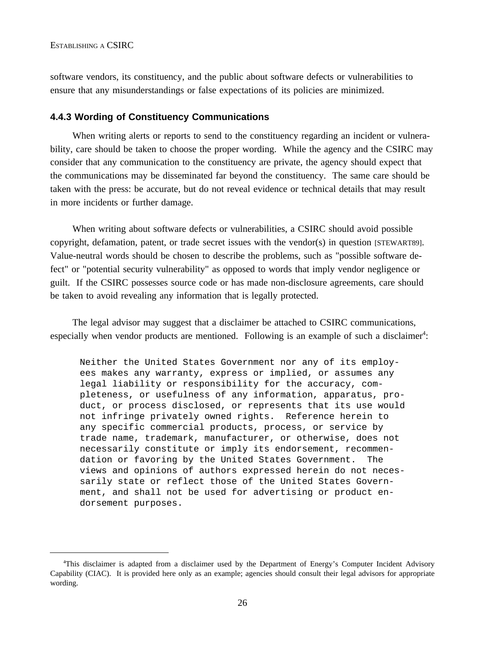software vendors, its constituency, and the public about software defects or vulnerabilities to ensure that any misunderstandings or false expectations of its policies are minimized.

#### **4.4.3 Wording of Constituency Communications**

When writing alerts or reports to send to the constituency regarding an incident or vulnerability, care should be taken to choose the proper wording. While the agency and the CSIRC may consider that any communication to the constituency are private, the agency should expect that the communications may be disseminated far beyond the constituency. The same care should be taken with the press: be accurate, but do not reveal evidence or technical details that may result in more incidents or further damage.

When writing about software defects or vulnerabilities, a CSIRC should avoid possible copyright, defamation, patent, or trade secret issues with the vendor(s) in question [STEWART89]. Value-neutral words should be chosen to describe the problems, such as "possible software defect" or "potential security vulnerability" as opposed to words that imply vendor negligence or guilt. If the CSIRC possesses source code or has made non-disclosure agreements, care should be taken to avoid revealing any information that is legally protected.

The legal advisor may suggest that a disclaimer be attached to CSIRC communications, especially when vendor products are mentioned. Following is an example of such a disclaimer<sup>4</sup>:

Neither the United States Government nor any of its employees makes any warranty, express or implied, or assumes any legal liability or responsibility for the accuracy, completeness, or usefulness of any information, apparatus, product, or process disclosed, or represents that its use would not infringe privately owned rights. Reference herein to any specific commercial products, process, or service by trade name, trademark, manufacturer, or otherwise, does not necessarily constitute or imply its endorsement, recommendation or favoring by the United States Government. The views and opinions of authors expressed herein do not necessarily state or reflect those of the United States Government, and shall not be used for advertising or product endorsement purposes.

<sup>4</sup> This disclaimer is adapted from a disclaimer used by the Department of Energy's Computer Incident Advisory Capability (CIAC). It is provided here only as an example; agencies should consult their legal advisors for appropriate wording.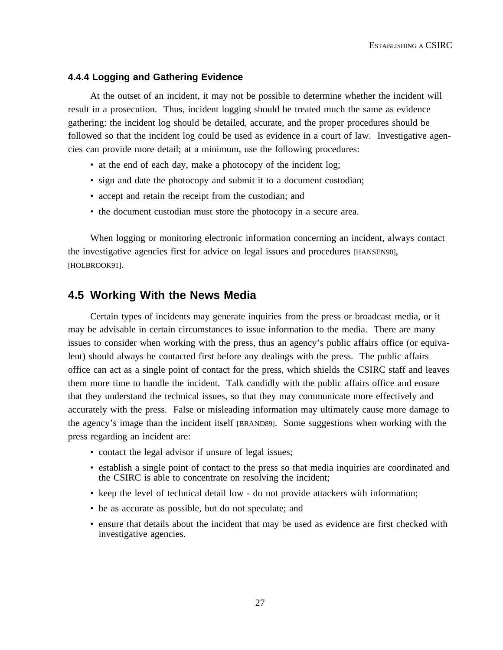#### **4.4.4 Logging and Gathering Evidence**

At the outset of an incident, it may not be possible to determine whether the incident will result in a prosecution. Thus, incident logging should be treated much the same as evidence gathering: the incident log should be detailed, accurate, and the proper procedures should be followed so that the incident log could be used as evidence in a court of law. Investigative agencies can provide more detail; at a minimum, use the following procedures:

- at the end of each day, make a photocopy of the incident log;
- sign and date the photocopy and submit it to a document custodian;
- accept and retain the receipt from the custodian; and
- the document custodian must store the photocopy in a secure area.

When logging or monitoring electronic information concerning an incident, always contact the investigative agencies first for advice on legal issues and procedures [HANSEN90], [HOLBROOK91].

## **4.5 Working With the News Media**

Certain types of incidents may generate inquiries from the press or broadcast media, or it may be advisable in certain circumstances to issue information to the media. There are many issues to consider when working with the press, thus an agency's public affairs office (or equivalent) should always be contacted first before any dealings with the press. The public affairs office can act as a single point of contact for the press, which shields the CSIRC staff and leaves them more time to handle the incident. Talk candidly with the public affairs office and ensure that they understand the technical issues, so that they may communicate more effectively and accurately with the press. False or misleading information may ultimately cause more damage to the agency's image than the incident itself [BRAND89]. Some suggestions when working with the press regarding an incident are:

- contact the legal advisor if unsure of legal issues;
- establish a single point of contact to the press so that media inquiries are coordinated and the CSIRC is able to concentrate on resolving the incident;
- keep the level of technical detail low do not provide attackers with information;
- be as accurate as possible, but do not speculate; and
- ensure that details about the incident that may be used as evidence are first checked with investigative agencies.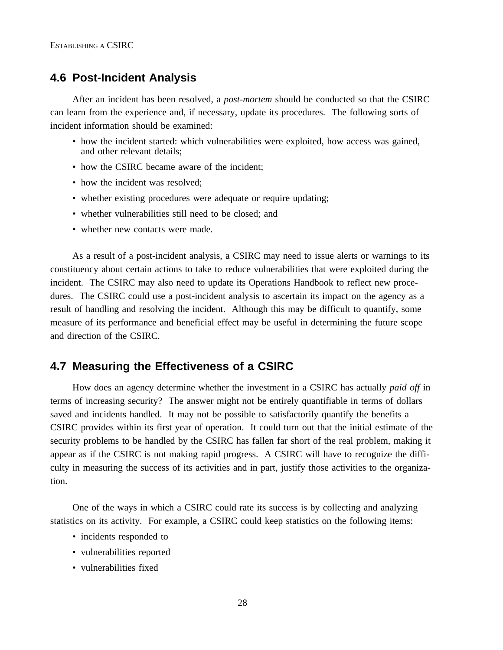## **4.6 Post-Incident Analysis**

After an incident has been resolved, a *post-mortem* should be conducted so that the CSIRC can learn from the experience and, if necessary, update its procedures. The following sorts of incident information should be examined:

- how the incident started: which vulnerabilities were exploited, how access was gained, and other relevant details;
- how the CSIRC became aware of the incident;
- how the incident was resolved;
- whether existing procedures were adequate or require updating;
- whether vulnerabilities still need to be closed; and
- whether new contacts were made.

As a result of a post-incident analysis, a CSIRC may need to issue alerts or warnings to its constituency about certain actions to take to reduce vulnerabilities that were exploited during the incident. The CSIRC may also need to update its Operations Handbook to reflect new procedures. The CSIRC could use a post-incident analysis to ascertain its impact on the agency as a result of handling and resolving the incident. Although this may be difficult to quantify, some measure of its performance and beneficial effect may be useful in determining the future scope and direction of the CSIRC.

## **4.7 Measuring the Effectiveness of a CSIRC**

How does an agency determine whether the investment in a CSIRC has actually *paid off* in terms of increasing security? The answer might not be entirely quantifiable in terms of dollars saved and incidents handled. It may not be possible to satisfactorily quantify the benefits a CSIRC provides within its first year of operation. It could turn out that the initial estimate of the security problems to be handled by the CSIRC has fallen far short of the real problem, making it appear as if the CSIRC is not making rapid progress. A CSIRC will have to recognize the difficulty in measuring the success of its activities and in part, justify those activities to the organization.

One of the ways in which a CSIRC could rate its success is by collecting and analyzing statistics on its activity. For example, a CSIRC could keep statistics on the following items:

- incidents responded to
- vulnerabilities reported
- vulnerabilities fixed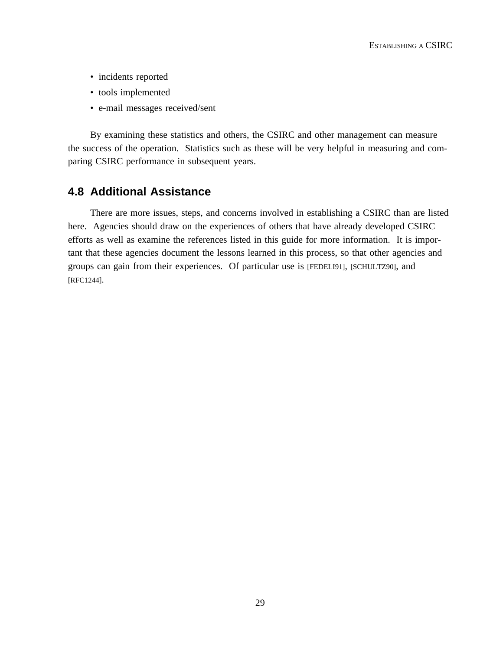- incidents reported
- tools implemented
- e-mail messages received/sent

By examining these statistics and others, the CSIRC and other management can measure the success of the operation. Statistics such as these will be very helpful in measuring and comparing CSIRC performance in subsequent years.

### **4.8 Additional Assistance**

There are more issues, steps, and concerns involved in establishing a CSIRC than are listed here. Agencies should draw on the experiences of others that have already developed CSIRC efforts as well as examine the references listed in this guide for more information. It is important that these agencies document the lessons learned in this process, so that other agencies and groups can gain from their experiences. Of particular use is [FEDELI91], [SCHULTZ90], and [RFC1244].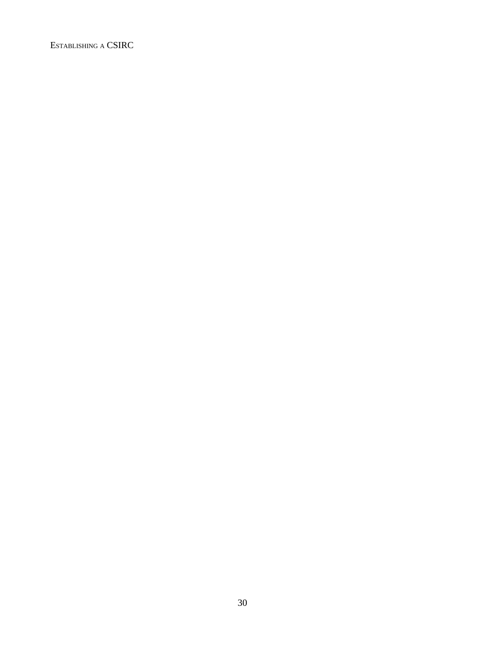ESTABLISHING A CSIRC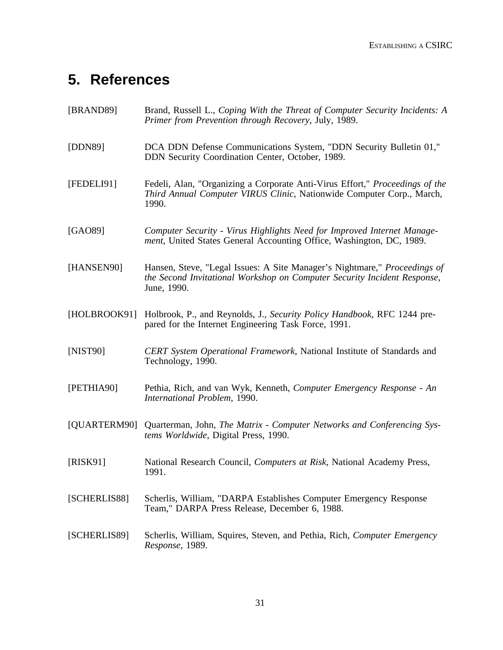## **5. References**

- [BRAND89] Brand, Russell L., *Coping With the Threat of Computer Security Incidents: A Primer from Prevention through Recovery*, July, 1989.
- [DDN89] DCA DDN Defense Communications System, "DDN Security Bulletin 01," DDN Security Coordination Center, October, 1989.
- [FEDELI91] Fedeli, Alan, "Organizing a Corporate Anti-Virus Effort," *Proceedings of the Third Annual Computer VIRUS Clinic*, Nationwide Computer Corp., March, 1990.
- [GAO89] *Computer Security Virus Highlights Need for Improved Internet Management*, United States General Accounting Office, Washington, DC, 1989.
- [HANSEN90] Hansen, Steve, "Legal Issues: A Site Manager's Nightmare," *Proceedings of the Second Invitational Workshop on Computer Security Incident Response*, June, 1990.
- [HOLBROOK91] Holbrook, P., and Reynolds, J., *Security Policy Handbook*, RFC 1244 prepared for the Internet Engineering Task Force, 1991.
- [NIST90] *CERT System Operational Framework*, National Institute of Standards and Technology, 1990.
- [PETHIA90] Pethia, Rich, and van Wyk, Kenneth, *Computer Emergency Response An International Problem*, 1990.
- [QUARTERM90] Quarterman, John, *The Matrix Computer Networks and Conferencing Systems Worldwide*, Digital Press, 1990.
- [RISK91] National Research Council, *Computers at Risk*, National Academy Press, 1991.
- [SCHERLIS88] Scherlis, William, "DARPA Establishes Computer Emergency Response Team," DARPA Press Release, December 6, 1988.
- [SCHERLIS89] Scherlis, William, Squires, Steven, and Pethia, Rich, *Computer Emergency Response*, 1989.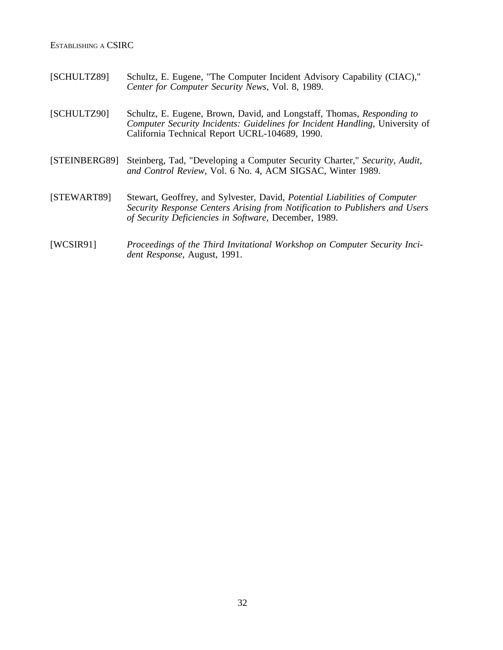ESTABLISHING A CSIRC

- [SCHULTZ89] Schultz, E. Eugene, "The Computer Incident Advisory Capability (CIAC)," *Center for Computer Security News*, Vol. 8, 1989.
- [SCHULTZ90] Schultz, E. Eugene, Brown, David, and Longstaff, Thomas, *Responding to Computer Security Incidents: Guidelines for Incident Handling*, University of California Technical Report UCRL-104689, 1990.
- [STEINBERG89] Steinberg, Tad, "Developing a Computer Security Charter," *Security, Audit, and Control Review*, Vol. 6 No. 4, ACM SIGSAC, Winter 1989.
- [STEWART89] Stewart, Geoffrey, and Sylvester, David, *Potential Liabilities of Computer Security Response Centers Arising from Notification to Publishers and Users of Security Deficiencies in Software*, December, 1989.
- [WCSIR91] *Proceedings of the Third Invitational Workshop on Computer Security Incident Response*, August, 1991.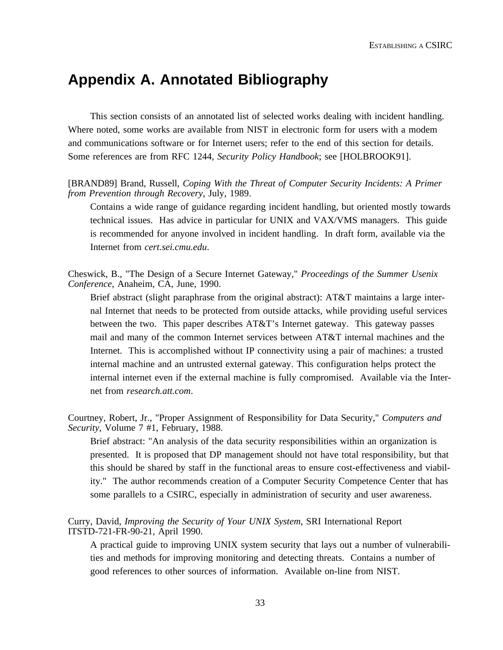## **Appendix A. Annotated Bibliography**

This section consists of an annotated list of selected works dealing with incident handling. Where noted, some works are available from NIST in electronic form for users with a modem and communications software or for Internet users; refer to the end of this section for details. Some references are from RFC 1244, *Security Policy Handbook*; see [HOLBROOK91].

[BRAND89] Brand, Russell, *Coping With the Threat of Computer Security Incidents: A Primer from Prevention through Recovery*, July, 1989.

Contains a wide range of guidance regarding incident handling, but oriented mostly towards technical issues. Has advice in particular for UNIX and VAX/VMS managers. This guide is recommended for anyone involved in incident handling. In draft form, available via the Internet from *cert.sei.cmu.edu*.

Cheswick, B., "The Design of a Secure Internet Gateway," *Proceedings of the Summer Usenix Conference*, Anaheim, CA, June, 1990.

Brief abstract (slight paraphrase from the original abstract): AT&T maintains a large internal Internet that needs to be protected from outside attacks, while providing useful services between the two. This paper describes AT&T's Internet gateway. This gateway passes mail and many of the common Internet services between AT&T internal machines and the Internet. This is accomplished without IP connectivity using a pair of machines: a trusted internal machine and an untrusted external gateway. This configuration helps protect the internal internet even if the external machine is fully compromised. Available via the Internet from *research.att.com*.

Courtney, Robert, Jr., "Proper Assignment of Responsibility for Data Security," *Computers and Security*, Volume 7 #1, February, 1988.

Brief abstract: "An analysis of the data security responsibilities within an organization is presented. It is proposed that DP management should not have total responsibility, but that this should be shared by staff in the functional areas to ensure cost-effectiveness and viability." The author recommends creation of a Computer Security Competence Center that has some parallels to a CSIRC, especially in administration of security and user awareness.

Curry, David, *Improving the Security of Your UNIX System*, SRI International Report ITSTD-721-FR-90-21, April 1990.

A practical guide to improving UNIX system security that lays out a number of vulnerabilities and methods for improving monitoring and detecting threats. Contains a number of good references to other sources of information. Available on-line from NIST.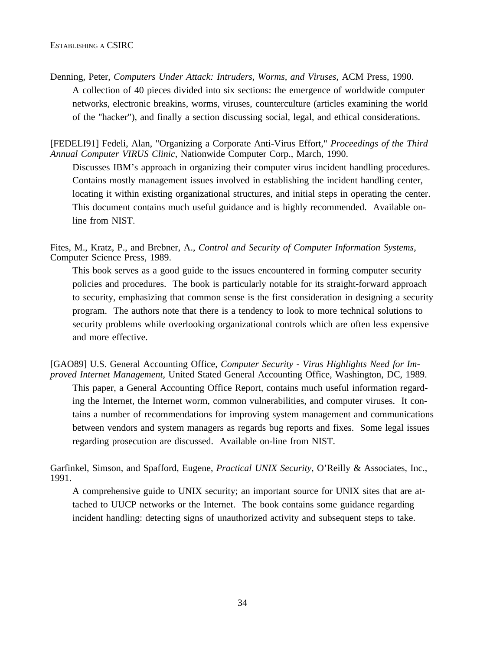Denning, Peter, *Computers Under Attack: Intruders, Worms, and Viruses*, ACM Press, 1990. A collection of 40 pieces divided into six sections: the emergence of worldwide computer networks, electronic breakins, worms, viruses, counterculture (articles examining the world of the "hacker"), and finally a section discussing social, legal, and ethical considerations.

[FEDELI91] Fedeli, Alan, "Organizing a Corporate Anti-Virus Effort," *Proceedings of the Third Annual Computer VIRUS Clinic*, Nationwide Computer Corp., March, 1990.

Discusses IBM's approach in organizing their computer virus incident handling procedures. Contains mostly management issues involved in establishing the incident handling center, locating it within existing organizational structures, and initial steps in operating the center. This document contains much useful guidance and is highly recommended. Available online from NIST.

Fites, M., Kratz, P., and Brebner, A., *Control and Security of Computer Information Systems*, Computer Science Press, 1989.

This book serves as a good guide to the issues encountered in forming computer security policies and procedures. The book is particularly notable for its straight-forward approach to security, emphasizing that common sense is the first consideration in designing a security program. The authors note that there is a tendency to look to more technical solutions to security problems while overlooking organizational controls which are often less expensive and more effective.

[GAO89] U.S. General Accounting Office, *Computer Security - Virus Highlights Need for Improved Internet Management*, United Stated General Accounting Office, Washington, DC, 1989.

This paper, a General Accounting Office Report, contains much useful information regarding the Internet, the Internet worm, common vulnerabilities, and computer viruses. It contains a number of recommendations for improving system management and communications between vendors and system managers as regards bug reports and fixes. Some legal issues regarding prosecution are discussed. Available on-line from NIST.

Garfinkel, Simson, and Spafford, Eugene, *Practical UNIX Security*, O'Reilly & Associates, Inc., 1991.

A comprehensive guide to UNIX security; an important source for UNIX sites that are attached to UUCP networks or the Internet. The book contains some guidance regarding incident handling: detecting signs of unauthorized activity and subsequent steps to take.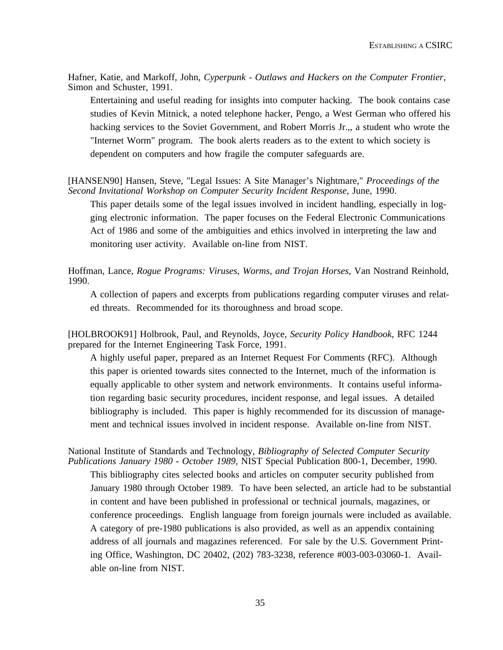Hafner, Katie, and Markoff, John, *Cyperpunk - Outlaws and Hackers on the Computer Frontier*, Simon and Schuster, 1991.

Entertaining and useful reading for insights into computer hacking. The book contains case studies of Kevin Mitnick, a noted telephone hacker, Pengo, a West German who offered his hacking services to the Soviet Government, and Robert Morris Jr.,, a student who wrote the "Internet Worm" program. The book alerts readers as to the extent to which society is dependent on computers and how fragile the computer safeguards are.

[HANSEN90] Hansen, Steve, "Legal Issues: A Site Manager's Nightmare," *Proceedings of the Second Invitational Workshop on Computer Security Incident Response*, June, 1990.

This paper details some of the legal issues involved in incident handling, especially in logging electronic information. The paper focuses on the Federal Electronic Communications Act of 1986 and some of the ambiguities and ethics involved in interpreting the law and monitoring user activity. Available on-line from NIST.

Hoffman, Lance, *Rogue Programs: Viruses, Worms, and Trojan Horses*, Van Nostrand Reinhold, 1990.

A collection of papers and excerpts from publications regarding computer viruses and related threats. Recommended for its thoroughness and broad scope.

[HOLBROOK91] Holbrook, Paul, and Reynolds, Joyce, *Security Policy Handbook*, RFC 1244 prepared for the Internet Engineering Task Force, 1991.

A highly useful paper, prepared as an Internet Request For Comments (RFC). Although this paper is oriented towards sites connected to the Internet, much of the information is equally applicable to other system and network environments. It contains useful information regarding basic security procedures, incident response, and legal issues. A detailed bibliography is included. This paper is highly recommended for its discussion of management and technical issues involved in incident response. Available on-line from NIST.

National Institute of Standards and Technology, *Bibliography of Selected Computer Security Publications January 1980 - October 1989*, NIST Special Publication 800-1, December, 1990. This bibliography cites selected books and articles on computer security published from January 1980 through October 1989. To have been selected, an article had to be substantial in content and have been published in professional or technical journals, magazines, or conference proceedings. English language from foreign journals were included as available. A category of pre-1980 publications is also provided, as well as an appendix containing address of all journals and magazines referenced. For sale by the U.S. Government Printing Office, Washington, DC 20402, (202) 783-3238, reference #003-003-03060-1. Available on-line from NIST.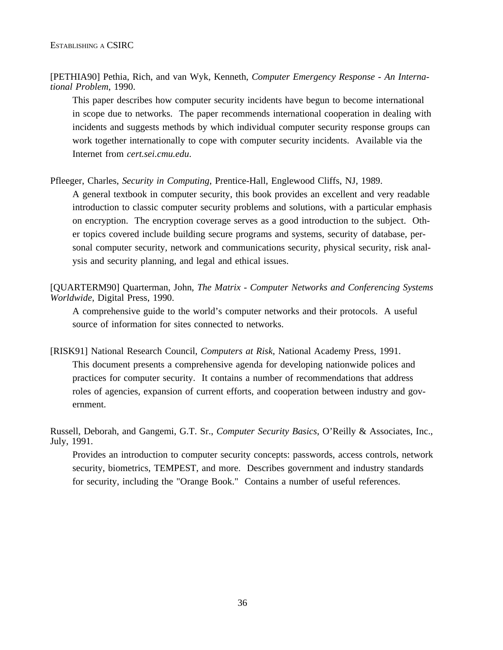[PETHIA90] Pethia, Rich, and van Wyk, Kenneth, *Computer Emergency Response - An International Problem*, 1990.

This paper describes how computer security incidents have begun to become international in scope due to networks. The paper recommends international cooperation in dealing with incidents and suggests methods by which individual computer security response groups can work together internationally to cope with computer security incidents. Available via the Internet from *cert.sei.cmu.edu*.

Pfleeger, Charles, *Security in Computing*, Prentice-Hall, Englewood Cliffs, NJ, 1989.

A general textbook in computer security, this book provides an excellent and very readable introduction to classic computer security problems and solutions, with a particular emphasis on encryption. The encryption coverage serves as a good introduction to the subject. Other topics covered include building secure programs and systems, security of database, personal computer security, network and communications security, physical security, risk analysis and security planning, and legal and ethical issues.

[QUARTERM90] Quarterman, John, *The Matrix - Computer Networks and Conferencing Systems Worldwide*, Digital Press, 1990.

A comprehensive guide to the world's computer networks and their protocols. A useful source of information for sites connected to networks.

[RISK91] National Research Council, *Computers at Risk*, National Academy Press, 1991. This document presents a comprehensive agenda for developing nationwide polices and practices for computer security. It contains a number of recommendations that address roles of agencies, expansion of current efforts, and cooperation between industry and government.

Russell, Deborah, and Gangemi, G.T. Sr., *Computer Security Basics*, O'Reilly & Associates, Inc., July, 1991.

Provides an introduction to computer security concepts: passwords, access controls, network security, biometrics, TEMPEST, and more. Describes government and industry standards for security, including the "Orange Book." Contains a number of useful references.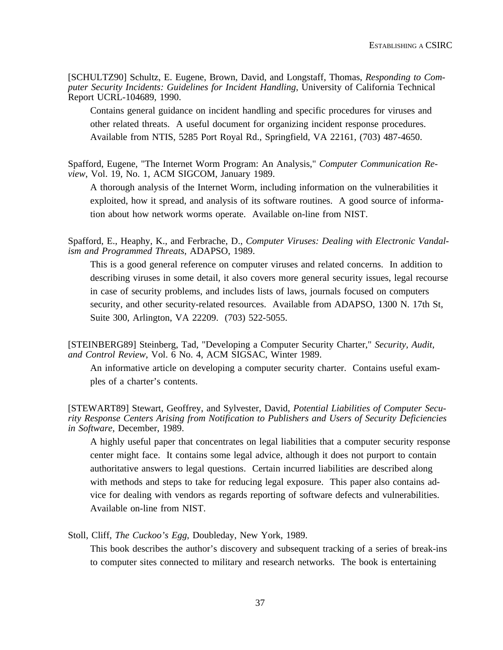[SCHULTZ90] Schultz, E. Eugene, Brown, David, and Longstaff, Thomas, *Responding to Computer Security Incidents: Guidelines for Incident Handling*, University of California Technical Report UCRL-104689, 1990.

Contains general guidance on incident handling and specific procedures for viruses and other related threats. A useful document for organizing incident response procedures. Available from NTIS, 5285 Port Royal Rd., Springfield, VA 22161, (703) 487-4650.

Spafford, Eugene, "The Internet Worm Program: An Analysis," *Computer Communication Review*, Vol. 19, No. 1, ACM SIGCOM, January 1989.

A thorough analysis of the Internet Worm, including information on the vulnerabilities it exploited, how it spread, and analysis of its software routines. A good source of information about how network worms operate. Available on-line from NIST.

Spafford, E., Heaphy, K., and Ferbrache, D., *Computer Viruses: Dealing with Electronic Vandalism and Programmed Threats*, ADAPSO, 1989.

This is a good general reference on computer viruses and related concerns. In addition to describing viruses in some detail, it also covers more general security issues, legal recourse in case of security problems, and includes lists of laws, journals focused on computers security, and other security-related resources. Available from ADAPSO, 1300 N. 17th St, Suite 300, Arlington, VA 22209. (703) 522-5055.

[STEINBERG89] Steinberg, Tad, "Developing a Computer Security Charter," *Security, Audit, and Control Review*, Vol. 6 No. 4, ACM SIGSAC, Winter 1989.

An informative article on developing a computer security charter. Contains useful examples of a charter's contents.

[STEWART89] Stewart, Geoffrey, and Sylvester, David, *Potential Liabilities of Computer Security Response Centers Arising from Notification to Publishers and Users of Security Deficiencies in Software*, December, 1989.

A highly useful paper that concentrates on legal liabilities that a computer security response center might face. It contains some legal advice, although it does not purport to contain authoritative answers to legal questions. Certain incurred liabilities are described along with methods and steps to take for reducing legal exposure. This paper also contains advice for dealing with vendors as regards reporting of software defects and vulnerabilities. Available on-line from NIST.

Stoll, Cliff, *The Cuckoo's Egg*, Doubleday, New York, 1989.

This book describes the author's discovery and subsequent tracking of a series of break-ins to computer sites connected to military and research networks. The book is entertaining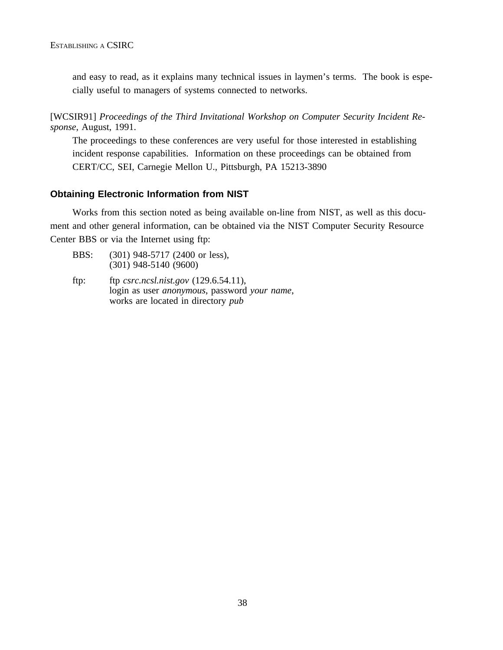and easy to read, as it explains many technical issues in laymen's terms. The book is especially useful to managers of systems connected to networks.

[WCSIR91] *Proceedings of the Third Invitational Workshop on Computer Security Incident Response*, August, 1991.

The proceedings to these conferences are very useful for those interested in establishing incident response capabilities. Information on these proceedings can be obtained from CERT/CC, SEI, Carnegie Mellon U., Pittsburgh, PA 15213-3890

#### **Obtaining Electronic Information from NIST**

Works from this section noted as being available on-line from NIST, as well as this document and other general information, can be obtained via the NIST Computer Security Resource Center BBS or via the Internet using ftp:

- BBS: (301) 948-5717 (2400 or less), (301) 948-5140 (9600)
- ftp: ftp *csrc.ncsl.nist.gov* (129.6.54.11), login as user *anonymous*, password *your name*, works are located in directory *pub*